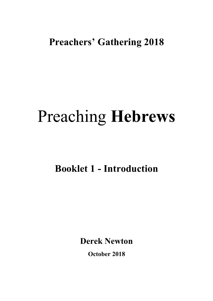# **Preachers' Gathering 2018**

# Preaching **Hebrews**

**Booklet 1 - Introduction**

**Derek Newton**

**October 2018**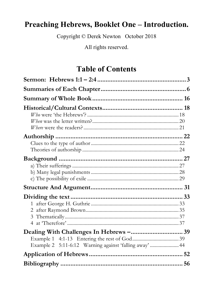# Preaching Hebrews, Booklet One - Introduction.

Copyright © Derek Newton October 2018

All rights reserved.

# **Table of Contents**

| Example 2 5:11-6:12 Warning against 'falling away'  44 |  |
|--------------------------------------------------------|--|
|                                                        |  |
|                                                        |  |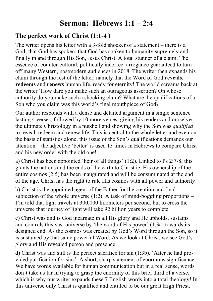# **Sermon: Hebrews 1:1 – 2:4**

#### **The perfect work of Christ (1:1-4 )**

The writer opens his letter with a 3-fold shocker of a statement – there is a God; that God has spoken; that God has spoken to humanity supremely and finally in and through His Son, Jesus Christ. A total stunner of a claim. The essence of counter-cultural, politically incorrect arrogance guaranteed to turn off many Western, postmodern audiences in 2018. The writer then expands his claim through the rest of the letter, namely that the Word of God **reveals**, **redeems** and **renews** human life, ready for eternity! The world screams back at the writer 'How dare you make such an outrageous assertion? On whose authority do you make such a shocking claim? What are the qualifications of a Son who you claim was this world's final mouthpiece of God?

Our author responds with a dense and detailed argument in a single sentence lasting 4 verses, followed by 10 more verses, giving his readers and ourselves the ultimate Christology in a nutshell and showing why the Son was *qualified* to reveal, redeem and renew life. This is central to the whole letter and even on the basis of statistics alone, this issue of the Son's qualifications demands our attention – the adjective 'better' is used 13 times in Hebrews to compare Christ and his new order with the old one!

a) Christ has been appointed 'heir of all things' (1:2). Linked to Ps 2:7-8, this grants the nations and the ends of the earth to Christ ie. His ownership of the entire cosmos (2:5) has been inaugurated and will be consummated at the end of the age. Christ has the right to rule His cosmos with all power and authority!

b) Christ is the appointed agent of the Father for the creation and final subjection of the whole universe  $(1:2)$ . A task of mind-boggling proportions – I'm told that light travels at 300,000 kilometers per second, but to cross the universe that journey of light will take 92 billion years to complete.

c) Christ was and is God incarnate in all His glory and He upholds, sustains and controls this vast universe by 'the word of His power' (1:3a) towards its designed end. As the cosmos was created by God's Word through the Son, so it is sustained by that same powerful Word. As we look at Christ, we see God's glory and His revealed person and presence.

d) Christ was and still is the perfect sacrifice for sin (1:3b). 'After he had provided purification for sins'. A short, sharp statement of enormous significance. We have words available for human communication but in a real sense, words don't take us far in trying to grasp the enormity of this brief third of a verse, which is why our writer expands these 7 English words into a total theology! In this universe only Christ is qualified and entitled to be our great High Priest.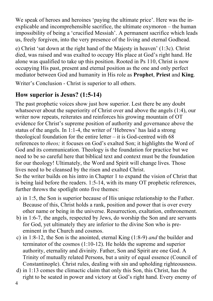We speak of heroes and heroines 'paying the ultimate price'. Here was the inexplicable and incomprehensible sacrifice, the ultimate oxymoron – the human impossibility of being a 'crucified Messiah'. A permanent sacrifice which leads us, freely forgiven, into the very presence of the living and eternal Godhead.

e) Christ 'sat down at the right hand of the Majesty in heaven' (1:3c). Christ died, was raised and was exalted to occupy His place at God's right hand. He alone was qualified to take up this position. Rooted in Ps 110, Christ is now occupying His past, present and eternal position as the one and only perfect mediator between God and humanity in His role as **Prophet**, **Priest** and **King**.

Writer's Conclusion - Christ is superior to all others.

# **How superior is Jesus? (1:5-14)**

The past prophetic voices show just how superior. Lest there be any doubt whatsoever about the superiority of Christ over and above the angels (1:4), our writer now repeats, reiterates and reinforces his growing mountain of OT evidence for Christ's supreme position of authority and governance above the status of the angels. In 1:1-4, the writer of 'Hebrews' has laid a strong theological foundation for the entire letter  $-$  it is God-centred with 68 references to *theos;* it focuses on God's exalted Son; it highlights the Word of God and its communication. Theology is the foundation for practice but we need to be so careful here that biblical text and context must be the foundation for our theology! Ultimately, the Word and Spirit will change lives. Those lives need to be cleansed by the risen and exalted Christ. So the writer builds on his intro in Chapter 1 to expand the vision of Christ that is being laid before the readers. 1:5-14, with its many OT prophetic references, further throws the spotlight onto five themes:

- a) in 1:5, the Son is superior because of His unique relationship to the Father. Because of this, Christ holds a rank, position and power that is over every other name or being in the universe. Resurrection, exaltation, enthronement.
- b) in 1:6-7, the angels, respected by Jews, do worship the Son and are servants for God, yet ultimately they are inferior to the divine Son who is preeminent in the Church and cosmos.
- c) in 1:8-12, the Son is the anointed, eternal King (1:8-9) *and* the builder and terminator of the cosmos (1:10-12). He holds the supreme and superior authority, eternality and divinity. Father, Son and Spirit are one God. A Trinity of mutually related Persons, but a unity of equal essence (Council of Constantinople). Christ rules, dealing with sin and upholding righteousness.
- d) in 1:13 comes the climactic claim that only this Son, this Christ, has the right to be seated in power and victory at God's right hand. Every enemy of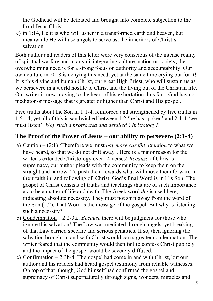the Godhead will be defeated and brought into complete subjection to the Lord Jesus Christ.

e) in 1:14, He it is who will usher in a transformed earth and heaven, but meanwhile He will use angels to serve us, the inheritors of Christ's salvation.

Both author and readers of this letter were very conscious of the intense reality of spiritual warfare and in any disintegrating culture, nation or society, the overwhelming need is for a strong focus on authority and accountability. Our own culture in 2018 is denying this need, yet at the same time crying out for it! It is this divine and human Christ, our great High Priest, who will sustain us as we persevere in a world hostile to Christ and the living out of the Christian life. Our writer is now moving to the heart of his exhortation thus far – God has no mediator or message that is greater or higher than Christ and His gospel.

Five truths about the Son in 1:1-4, reinforced and strengthened by five truths in 1:5-14, yet all of this is sandwiched between 1:2 'he has spoken' and 2:1-4 'we must listen'. *Why such a protracted and detailed Christology*?!

## **The Proof of the Power of Jesus – our ability to persevere (2:1-4)**

- a) Caution (2:1) 'Therefore we must *pay more careful attention* to what we have heard, so that we do not drift away'. Here is a major reason for the writer's extended Christology over 14 verses! *Because* of Christ's supremacy, our author pleads with the community to keep them on the straight and narrow. To push them towards what will move them forward in their faith in, and following of, Christ. God's final Word is in His Son. The gospel of Christ consists of truths and teachings that are of such importance as to be a matter of life and death. The Greek word *dei* is used here, indicating absolute necessity. They must not shift away from the word of the Son (1:2). That Word is the message of the gospel. But why is listening such a necessity?
- b) Condemnation 2:2-3a., *Because* there will be judgment for those who ignore this salvation! The Law was mediated through angels, yet breaking of that Law carried specific and serious penalties. If so, then ignoring the salvation brought in and with Christ would carry greater condemnation. The writer feared that the community would then fail to confess Christ publicly and the impact of the gospel would be severely diffused.
- c) Confirmation 2:3b-4. The gospel had come in and with Christ, but our author and his readers had heard gospel testimony from reliable witnesses. On top of that, though, God himself had confirmed the gospel and supremacy of Christ supernaturally through signs, wonders, miracles and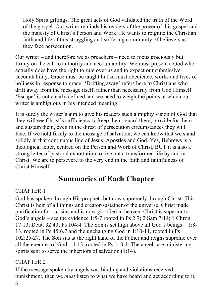Holy Spirit giftings. The great acts of God validated the truth of the Word of the gospel. Our writer reminds his readers of the power of this gospel and the majesty of Christ's Person and Work. He wants to reignite the Christian faith and life of this struggling and suffering community of believers as they face persecution.

Our writer – and therefore we as preachers – need to focus graciously but firmly on the call to authority and accountability. We must present a God who actually does have the right to rule over us and to expect our submissive accountability. Grace must be taught but so must obedience, works and lives of holiness in response to grace! 'Drifting away' refers here to Christians who drift away from the message itself, rather than necessarily from God Himself. 'Escape' is not clearly defined and we need to weigh the points at which our writer is ambiguous in his intended meaning.

It is surely the writer's aim to give his readers such a mighty vision of God that they will see Christ's sufficiency to keep them, guard them, provide for them and sustain them, even in the direst of persecution circumstances they will face. If we hold firmly to the message of salvation, we can know that we stand solidly in that continuous line of Jesus, Apostles and God. Yes, Hebrews is a theological letter, centred on the Person and Work of Christ, BUT it is also a strong letter of pastoral exhortation to live out a transformed life by and in Christ. We are to persevere to the very end in the faith and faithfulness of Christ Himself.

# **Summaries of Each Chapter**

#### CHAPTER 1

God has spoken through His prophets but now supremely through Christ. This Christ is heir of all things and creator/sustainer of the universe. Christ made purification for our sins and is now glorified in heaven. Christ is superior to God's angels – see the evidence 1:5-7 rooted in Ps 2:7; 2 Sam 7:14; 1 Chron. 17:13; Deut. 32:43; Ps 104:4. The Son is set high above all God's beings – 1:8- 13, rooted in Ps 45:6,7 and the unchanging God in 1:10-11, rooted in Ps 102:25-27. The Son sits at the right hand of the Father and reigns supreme over all the enemies of  $God - 1:13$ , rooted in Ps 110:1. The angels are ministering spirits sent to serve the inheritors of salvation  $(1:14)$ .

#### CHAPTER 2

If the message spoken by angels was binding and violations received punishment, then we *must* listen to what we have heard and act according to it,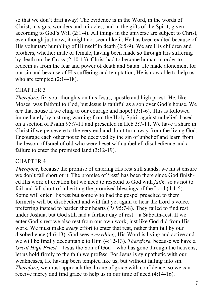so that we don't drift away! The evidence is in the Word, in the words of Christ, in signs, wonders and miracles, and in the gifts of the Spirit, given according to God's Will (2:1-4). All things in the universe are subject to Christ, even though just now, it might not seem like it. He has been exalted because of His voluntary humbling of Himself in death (2:5-9). We are His children and brothers, whether male or female, having been made so through His suffering by death on the Cross (2:10-13). Christ had to become human in order to redeem us from the fear and power of death and Satan. He made atonement for our sin and because of His suffering and temptation, He is now able to help us who are tempted  $(2:14-18)$ .

#### CHAPTER 3

*Therefore*, fix your thoughts on this Jesus, apostle and high priest! He, like Moses, was faithful to God, but Jesus is faithful as a son over God's house. We *are* that house if we cling to our courage and hope! (3:1-6). This is followed immediately by a strong warning from the Holy Spirit against unbelief, based on a section of Psalm 95:7-11 and presented in Heb 3:7-11. We have a share in Christ if we persevere to the very end and don't turn away from the living God. Encourage each other not to be deceived by the sin of unbelief and learn from the lesson of Israel of old who were beset with unbelief, disobedience and a failure to enter the promised land (3:12-19).

#### CHAPTER 4

*Therefore*, because the promise of entering His rest still stands, we must ensure we don't fall short of it. The promise of 'rest' has been there since God finished His work of creation but we need to respond to God with *faith,* so as not to fail and fall short of inheriting the promised blessings of the Lord (4:1-5). Some will enter His rest but some who had the gospel preached to them formerly will be disobedient and will fail yet again to hear the Lord's voice, preferring instead to harden their hearts (Ps 95:7-8). They failed to find rest under Joshua, but God still had a further day of rest – a Sabbath-rest. If we enter God's rest we also rest from our own work, just like God did from His work. We must make *every* effort to enter that rest, rather than fall by our disobedience (4:6-13). God sees *everything*, His Word is living and active and we will be finally accountable to Him (4:12-13). *Therefore*, because we have a *Great High Priest* – Jesus the Son of God – who has gone through the heavens, let us hold firmly to the faith we profess. For Jesus is sympathetic with our weaknesses, He having been tempted like us, but without falling into sin. *Therefore*, we must approach the throne of grace with confidence, so we can receive mercy and find grace to help us in our time of need (4:14-16).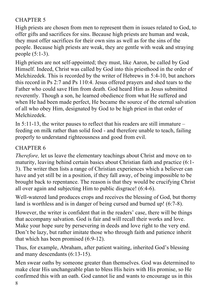#### CHAPTER 5

High priests are chosen from men to represent them in issues related to God, to offer gifts and sacrifices for sins. Because high priests are human and weak, they must offer sacrifices for their own sins as well as for the sins of the people. Because high priests are weak, they are gentle with weak and straying people (5:1-3).

High priests are not self-appointed; they must, like Aaron, be called by God Himself. Indeed, Christ was called by God into this priesthood in the order of Melchizedek. This is recorded by the writer of Hebrews in 5:4-10, but anchors this record in Ps 2:7 and Ps 110:4. Jesus offered prayers and shed tears to the Father who could save Him from death. God heard Him as Jesus submitted reverently. Though a son, he learned obedience from what He suffered and when He had been made perfect, He became the source of the eternal salvation of all who obey Him, designated by God to be high priest in that order of Melchizedek.

In 5:11-13, the writer pauses to reflect that his readers are still immature – feeding on milk rather than solid food - and therefore unable to teach, failing properly to understand righteousness and good from evil.

#### CHAPTER 6

*Therefore*, let us leave the elementary teachings about Christ and move on to maturity, leaving behind certain basics about Christian faith and practice (6:1- 3). The writer then lists a range of Christian experiences which a believer can have and yet still be in a position, if they fall away, of being impossible to be brought back to repentance. The reason is that they would be crucifying Christ all over again and subjecting Him to public disgrace! (6:4-6).

Well-watered land produces crops and receives the blessing of God, but thorny land is worthless and is in danger of being cursed and burned up! (6:7-8).

However, the writer is confident that in the readers' case, there will be things that accompany salvation. God is fair and will recall their works and love. Make your hope sure by persevering in deeds and love right to the very end. Don't be lazy, but rather imitate those who through faith and patience inherit that which has been promised (6:9-12).

Thus, for example, Abraham, after patient waiting, inherited God's blessing and many descendants (6:13-15).

Men swear oaths by someone greater than themselves. God was determined to make clear His unchangeable plan to bless His heirs with His promise, so He confirmed this with an oath. God cannot lie and wants to encourage us in this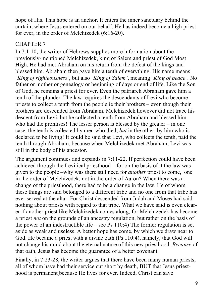hope of His. This hope is an anchor. It enters the inner sanctuary behind the curtain, where Jesus entered on our behalf. He has indeed become a high priest for ever, in the order of Melchizedek (6:16-20).

#### CHAPTER 7

In 7:1-10, the writer of Hebrews supplies more information about the previously-mentioned Melchizedek, king of Salem and priest of God Most High. He had met Abraham on his return from the defeat of the kings and blessed him. Abraham then gave him a tenth of everything. His name means '*King of righteousness'*, but also '*King of Salem'*, meaning '*King of peace'*. No father or mother or genealogy or beginning of days or end of life. Like the Son of God, he remains a priest for ever. Even the patriarch Abraham gave him a tenth of the plunder. The law requires the descendants of Levi who become priests to collect a tenth from the people ie their brothers – even though their brothers are descended from Abraham. Melchizedek however did not trace his descent from Levi, but he collected a tenth from Abraham and blessed him who had the promises! The lesser person is blessed by the greater – in one case, the tenth is collected by men who died; *but* in the other, by him who is declared to be living! It could be said that Levi, who collects the tenth, paid the tenth through Abraham, because when Melchizedek met Abraham, Levi was still in the body of his ancestor.

The argument continues and expands in 7:11-22. If perfection could have been achieved through the Levitical priesthood – for on the basis of it the law was given to the people –why was there still need for *another* priest to come, one in the order of Melchizedek, not in the order of Aaron? When there was a change of the priesthood, there had to be a change in the law. He of whom these things are said belonged to a different tribe and no one from that tribe has ever served at the altar. For Christ descended from Judah and Moses had said nothing about priests with regard to that tribe. What we have said is even clearer if another priest like Melchizedek comes along, for Melchizedek has become a priest *not* on the grounds of an ancestry regulation, but rather on the basis of the power of an indestructible life – see Ps  $110:4$ ) The former regulation is set aside as weak and useless. A better hope has come, by which we draw near to God. He became a priest with a divine oath (Ps 110:4), namely, that God will not change his mind about the eternal nature of this new priesthood. *Because* of that oath, Jesus has become the guarantee of a better covenant.

Finally, in 7:23-28, the writer argues that there have been many human priests, all of whom have had their service cut short by death, BUT that Jesus priesthood is permanent because He lives for ever. Indeed, Christ can save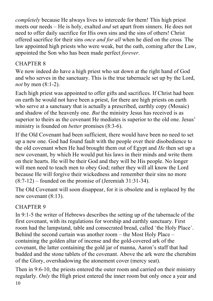*completely* because He always lives to intercede for them! This high priest meets our needs – He is holy, exalted *and* set apart from sinners. He does not need to offer daily sacrifice for His own sins and the sins of others! Christ offered sacrifice for their sins *once and for all* when he died on the cross. The law appointed high priests who were weak, but the oath, coming after the Law, appointed the Son who has been made perfect *forever*.

#### CHAPTER 8

We now indeed do have a high priest who sat down at the right hand of God and who serves in the sanctuary. This is the true tabernacle set up by the Lord, *not* by men (8:1-2).

Each high priest was appointed to offer gifts and sacrifices. If Christ had been on earth he would not have been a priest, for there are high priests on earth who serve at a sanctuary that is actually a prescribed, earthly copy (Mosaic) and shadow of the heavenly one. *But* the ministry Jesus has received is as superior to theirs as the covenant He mediates is superior to the old one. Jesus' ministry is founded on *better* promises (8:3-6).

If the Old Covenant had been sufficient, there would have been no need to set up a new one. God had found fault with the people over their disobedience to the old covenant when He had brought them out of Egypt and *He* then set up a new covenant, by which He would put his laws in their minds and write them on their hearts. He will be their God and they will be His people. No longer will men need to teach men to obey God; rather they will all know the Lord because He will forgive their wickedness and remember their sins no more  $(8:7-12)$  – founded on the promise of (Jeremiah 31:31-34).

The Old Covenant will soon disappear, for it is obsolete and is replaced by the new covenant (8:13).

#### CHAPTER 9

In 9:1-5 the writer of Hebrews describes the setting up of the tabernacle of the first covenant, with its regulations for worship and earthly sanctuary. First room had the lampstand, table and consecrated bread, called 'the Holy Place'. Behind the second curtain was another room – the Most Holy Place – containing the golden altar of incense and the gold-covered ark of the covenant, the latter containing the gold jar of manna, Aaron's staff that had budded and the stone tablets of the covenant. Above the ark were the cherubim of the Glory, overshadowing the atonement cover (mercy seat).

10 Then in 9:6-10, the priests entered the outer room and carried on their ministry regularly. *Only* the High priest entered the inner room but only once a year and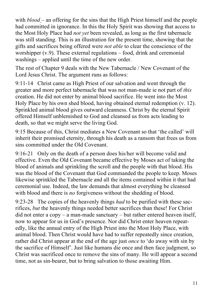with *blood* – an offering for the sins that the High Priest himself and the people had committed in ignorance. In this the Holy Spirit was showing that access to the Most Holy Place had *not yet* been revealed, as long as the first tabernacle was still standing. This is an illustration for the present time, showing that the gifts and sacrifices being offered were *not able* to clear the conscience of the worshipper (v.9). These external regulations – food, drink and ceremonial washings – applied until the time of the new order.

The rest of Chapter 9 deals with the New Tabernacle / New Covenant of the Lord Jesus Christ. The argument runs as follows:

9:11-14 Christ came as High Priest of our salvation and went through the greater and more perfect tabernacle that was not man-made ie not part of *this* creation. He did not enter by animal blood sacrifice. He went into the Most Holy Place by his own shed blood, having obtained eternal redemption (v. 12). Sprinkled animal blood gives outward cleanness. Christ by the eternal Spirit offered Himself unblemished to God and cleansed us from acts leading to death, so that we might serve the living God.

9:15 Because of this, Christ mediates a New Covenant so that 'the called' will inherit their promised eternity, through his death as a ransom that frees us from sins committed under the Old Covenant.

9:16-21 Only on the death of a person does his/her will become valid and effective. Even the Old Covenant became effective by Moses act of taking the blood of animals and sprinkling the scroll and the people with that blood. His was the blood of the Covenant that God commanded the people to keep. Moses likewise sprinkled the Tabernacle and all the items contained within it that had ceremonial use. Indeed, the law demands that almost everything be cleansed with blood and there is *no* forgiveness without the shedding of blood.

9:23-28 The copies of the heavenly things *had* to be purified with these sacrifices, *but* the heavenly things needed better sacrifices than these! For Christ did not enter a copy – a man-made sanctuary – but rather entered heaven itself, now to appear for us in God's presence. Nor did Christ enter heaven repeatedly, like the annual entry of the High Priest into the Most Holy Place, with animal blood. Then Christ would have had to suffer repeatedly since creation, rather did Christ appear at the end of the age just *once* to 'do away with sin by the sacrifice of Himself'. Just like humans die once and then face judgment, so Christ was sacrificed once to remove the sins of many. He will appear a second time, not as sin-bearer, but to bring salvation to those awaiting Him.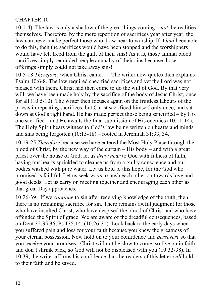#### CHAPTER 10

10:1-4) The law is only a shadow of the great things coming – *not* the realities themselves. Therefore, by the mere repetition of sacrifices year after year, the law can never make perfect those who draw near to worship. If it *had* been able to do this, then the sacrifices would have been stopped and the worshippers would have felt freed from the guilt of their sins! As it is, those animal blood sacrifices simply reminded people annually of their sins because those offerings simply could not take away sins!

10:5-18 *Therefore*, when Christ came…. The writer now quotes then explains Psalm 40:6-8. The law required specified sacrifices and yet the Lord was not pleased with them. Christ had then come to do the will of God. By that very will, we have been made holy by the sacrifice of the body of Jesus Christ, once for all (10:5-10). The writer then focuses again on the fruitless labours of the priests in repeating sacrifices, but Christ sacrificed himself only once, and sat down at God's right hand. He has made perfect those being sanctified – by His one sacrifice – and He awaits the final submission of His enemies (10:11-14). The Holy Spirit bears witness to God's law being written on hearts and minds and sins being forgotten (10:15-18) – rooted in Jeremiah 31:33, 34.

10:19-25 *Therefore* because we have entered the Most Holy Place through the blood of Christ, by the new way of the curtain – His body – and with a great priest over the house of God, let us *draw near* to God with fulness of faith, having our hearts sprinkled to cleanse us from a guilty conscience and our bodies washed with pure water. Let us hold to this hope, for the God who promised is faithful. Let us seek ways to push each other on towards love and good deeds. Let us carry on meeting together and encouraging each other as that great Day approaches.

10:26-39 If we *continue* to sin after receiving knowledge of the truth, then there is no remaining sacrifice for sin. There remains awful judgment for those who have insulted Christ, who have despised the blood of Christ and who have offended the Spirit of grace. We are aware of the dreadful consequences, based on Deut 32:35,36; Ps 135:14; (10:26-31). Look back to the early days when you suffered pain and loss for your faith because you knew the greatness of your eternal possession. Now hold on to your confidence and *persevere* so that you receive your promises. Christ will not be slow to come, so live on in faith and don't shrink back, so God will not be displeased with you (10:32-38). In 10:39, the writer affirms his confidence that the readers of this letter *will* hold to their faith and be saved.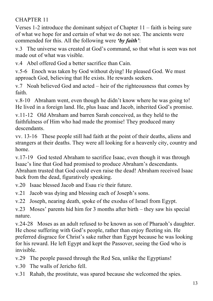#### CHAPTER 11

Verses 1-2 introduce the dominant subject of Chapter 11 – faith is being sure of what we hope for and certain of what we do not see. The ancients were commended for this. All the following were *'by faith'*:

v.3 The universe was created at God's command, so that what is seen was not made out of what was visible.

v.4 Abel offered God a better sacrifice than Cain.

v.5-6 Enoch was taken by God without dying! He pleased God. We must approach God, believing that He exists. He rewards seekers.

v.7 Noah believed God and acted – heir of the righteousness that comes by faith.

v.8-10 Abraham went, even though he didn't know where he was going to! He lived in a foreign land. He, plus Isaac and Jacob, inherited God's promise.

v.11-12 Old Abraham and barren Sarah conceived, as they held to the faithfulness of Him who had made the promise! They produced many descendants.

vv. 13-16 These people still had faith at the point of their deaths, aliens and strangers at their deaths. They were all looking for a heavenly city, country and home.

v.17-19 God tested Abraham to sacrifice Isaac, even though it was through Isaac's line that God had promised to produce Abraham's descendants. Abraham trusted that God could even raise the dead! Abraham received Isaac back from the dead, figuratively speaking.

v.20 Isaac blessed Jacob and Esau r/e their future.

v.21 Jacob was dying and blessing each of Joseph's sons.

v.22 Joseph, nearing death, spoke of the exodus of Israel from Egypt.

v.23 Moses' parents hid him for 3 months after birth – they saw his special nature.

v.24-28 Moses as an adult refused to be known as son of Pharaoh's daughter. He chose suffering with God's people, rather than enjoy fleeting sin. He preferred disgrace for Christ's sake rather than Egypt because he was looking for his reward. He left Egypt and kept the Passover, seeing the God who is invisible.

v.29 The people passed through the Red Sea, unlike the Egyptians!

- v.30 The walls of Jericho fell.
- v.31 Rahab, the prostitute, was spared because she welcomed the spies.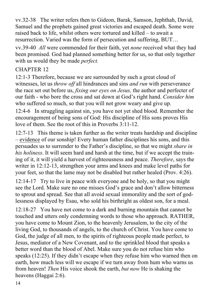vv.32-38 The writer refers then to Gideon, Barak, Samson, Jephthah, David, Samuel and the prophets gained great victories and escaped death. Some were raised back to life, whilst others were tortured and killed – to await a resurrection. Varied was the form of persecution and suffering, BUT…

vv.39-40 *All* were commended for their faith, yet *none* received what they had been promised. God had planned something better for us, so that only together with us would they be made *perfect.*

#### CHAPTER 12

12:1-3 Therefore, because we are surrounded by such a great cloud of witnesses, let us *throw off* all hindrances and sins *and run* with perseverance the race set out before us, *fixing our eyes on Jesus,* the author and perfecter of our faith - who bore the cross and sat down at God's right hand. *Consider him* who suffered so much, so that you will not grow weary and give up.

12:4-6 In struggling against sin, you have not yet shed blood. Remember the encouragement of being sons of God: His discipline of His sons proves His love of them. See the root of this in Proverbs 3:11-12.

12:7-13 This theme is taken further as the writer treats hardship and discipline – evidence of our sonship! Every human father disciplines his sons, and this persuades us to surrender to the Father's discipline, so that we might *share in his holiness*. It will seem hard and harsh at the time, but if we accept the training of it, it will yield a harvest of righteousness and peace. *Therefore*, says the writer in 12:12-13, strengthen your arms and knees and make level paths for your feet, so that the lame may not be disabled but rather healed (Prov. 4:26).

12:14-17 Try to live in peace with everyone and be holy, so that you might see the Lord. Make sure no one misses God's grace and don't allow bitterness to sprout and spread. See that all avoid sexual immorality and the sort of godlessness displayed by Esau, who sold his birthright as oldest son, for a meal.

12:18-27 You have not come to a dark and burning mountain that cannot be touched and utters only condemning words to those who approach. RATHER, you have come to Mount Zion, to the heavenly Jerusalem, to the city of the living God, to thousands of angels, to the church of Christ. You have come to God, the judge of all men, to the spirits of righteous people made perfect, to Jesus, mediator of a New Covenant, and to the sprinkled blood that speaks a better word than the blood of Abel. Make sure you do not refuse him who speaks (12:25). If they didn't escape when they refuse him who warned then on earth, how much less will we escape if we turn away from hum who warns us from heaven! *Then* His voice shook the earth, *but now* He is shaking the heavens (Haggai 2:6).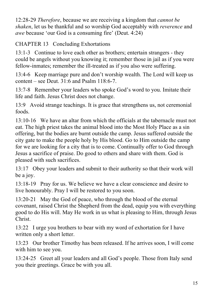12:28-29 *Therefore*, because we are receiving a kingdom that *cannot be shaken*, let us be thankful and so worship God acceptably with *reverence* and *awe* because 'our God is a consuming fire' (Deut. 4:24)

CHAPTER 13 Concluding Exhortations

13:1-3 Continue to love each other as brothers; entertain strangers - they could be angels without you knowing it; remember those in jail as if you were fellow-inmates; remember the ill-treated as if you also were suffering.

13:4-6 Keep marriage pure and don't worship wealth. The Lord will keep us content – see Deut.  $31:6$  and Psalm  $118:6-7$ .

13:7-8 Remember your leaders who spoke God's word to you. Imitate their life and faith. Jesus Christ does not change.

13:9 Avoid strange teachings. It is grace that strengthens us, not ceremonial foods.

13:10-16 We have an altar from which the officials at the tabernacle must not eat. The high priest takes the animal blood into the Most Holy Place as a sin offering, but the bodies are burnt outside the camp. Jesus suffered outside the city gate to make the people holy by His blood. Go to Him outside the camp for we are looking for a city that is to come. Continually offer to God through Jesus a sacrifice of praise. Do good to others and share with them. God is pleased with such sacrifices.

13:17 Obey your leaders and submit to their authority so that their work will be a joy.

13:18-19 Pray for us. We believe we have a clear conscience and desire to live honourably. Pray I will be restored to you soon.

13:20-21 May the God of peace, who through the blood of the eternal covenant, raised Christ the Shepherd from the dead, equip you with everything good to do His will. May He work in us what is pleasing to Him, through Jesus Christ.

13:22 I urge you brothers to bear with my word of exhortation for I have written only a short letter.

13:23 Our brother Timothy has been released. If he arrives soon, I will come with him to see you.

13:24-25 Greet all your leaders and all God's people. Those from Italy send you their greetings. Grace be with you all.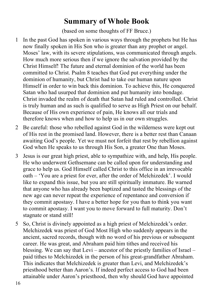## **Summary of Whole Book**

(based on some thoughts of FF Bruce.)

- 1 In the past God has spoken in various ways through the prophets but He has now finally spoken in His Son who is greater than any prophet or angel. Moses' law, with its severe stipulations, was communicated through angels. How much more serious then if we ignore the salvation provided by the Christ Himself! The future and eternal dominion of the world has been committed to Christ. Psalm 8 teaches that God put everything under the dominion of humanity, but Christ had to take our human nature upon Himself in order to win back this dominion. To achieve this, He conquered Satan who had usurped that dominion and put humanity into bondage. Christ invaded the realm of death that Satan had ruled and controlled. Christ is truly human and as such is qualified to serve as High Priest on our behalf. Because of His own experience of pain, He knows all our trials and therefore knows when and how to help us in our own struggles.
- 2 Be careful: those who rebelled against God in the wilderness were kept out of His rest in the promised land. However, there is a better rest than Canaan awaiting God's people. Yet we must not forfeit that rest by rebellion against God when He speaks to us through His Son, a greater One than Moses.
- 3 Jesus is our great high priest, able to sympathize with, and help, His people. He who underwent Gethsemane can be called upon for understanding and grace to help us. God Himself called Christ to this office in an irrevocable oath – 'You are a priest for ever, after the order of Melchizedek'. I would like to expand this issue, but you are still spiritually immature. Be warned that anyone who has already been baptized and tasted the blessings of the new age can never repeat the experience of repentance and conversion if they commit apostasy. I have a better hope for you than to think you want to commit apostasy. I want you to move forward to full maturity. Don't stagnate or stand still!
- 5 So, Christ is divinely appointed as a high priest of Melchizedek's order. Melchizedek was priest of God Most High who suddenly appears in the ancient, sacred records, though with no word of his previous or subsequent career. He was great, and Abraham paid him tithes and received his blessing. We can say that Levi – ancestor of the priestly families of Israel – paid tithes to Melchizedek in the person of his great-grandfather Abraham. This indicates that Melchizedek is greater than Levi, and Melchizedek's priesthood better than Aaron's. If indeed perfect access to God had been attainable under Aaron's priesthood, then why should God have appointed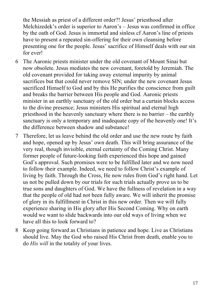the Messiah as priest of a different order?! Jesus' priesthood after Melchizedek's order is superior to Aaron's – Jesus was confirmed in office by the oath of God. Jesus is immortal and sinless cf Aaron's line of priests have to present a repeated sin-offering for their own cleansing before presenting one for the people. Jesus' sacrifice of Himself deals with our sin for ever!

- 6 The Aaronic priests minister under the old covenant of Mount Sinai but now obsolete. Jesus mediates the new covenant, foretold by Jeremiah. The old covenant provided for taking away external impurity by animal sacrifices but that could never remove SIN; under the new covenant Jesus sacrificed Himself to God and by this He purifies the conscience from guilt and breaks the barrier between His people and God. Aaronic priests minister in an earthly sanctuary of the old order but a curtain blocks access to the divine presence; Jesus ministers His spiritual and eternal high priesthood in the heavenly sanctuary where there is no barrier – the earthly sanctuary is only a temporary and inadequate copy of the heavenly one! It's the difference between shadow and substance!
- 7 Therefore, let us leave behind the old order and use the new route by faith and hope, opened up by Jesus' own death. This will bring assurance of the very real, though invisible, eternal certainty of the Coming Christ. Many former people of future-looking faith experienced this hope and gained God's approval. Such promises were to be fulfilled later and we now need to follow their example. Indeed, we need to follow Christ's example of living by faith. Through the Cross, He now rules from God's right hand. Let us not be pulled down by our trials for such trials actually prove us to be true sons and daughters of God. We have the fullness of revelation in a way that the people of old had not been fully aware. We will inherit the promise of glory in its fulfillment in Christ in this new order. Then we will fully experience sharing in His glory after His Second Coming. Why on earth would we want to slide backwards into our old ways of living when we have all this to look forward to?
- 8 Keep going forward as Christians in patience and hope. Live as Christians should live. May the God who raised His Christ from death, enable you to do *His will* in the totality of your lives.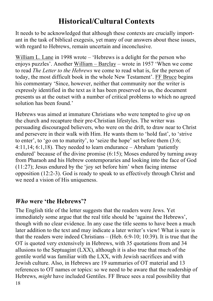# **Historical/Cultural Contexts**

It needs to be acknowledged that although these contexts are crucially important in the task of biblical exegesis, yet many of our answers about these issues, with regard to Hebrews, remain uncertain and inconclusive.

William L. Lane in 1998 wrote – 'Hebrews is a delight for the person who enjoys puzzles'. Another William – Barclay – wrote in 1957 'When we come to read *The Letter to the Hebrews* we come to read what is, for the person of today, the most difficult book in the whole New Testament'. FF Bruce begins his commentary 'Since, however, neither that community nor the writer is expressly identified in the text as it has been preserved to us, the document presents us at the outset with a number of critical problems to which no agreed solution has been found.'

Hebrews was aimed at immature Christians who were tempted to give up on the church and recapture their pre-Christian lifestyles. The writer was persuading discouraged believers, who were on the drift, to draw near to Christ and persevere in their walk with Him. He wants them to 'hold fast', to 'strive to enter', to 'go on to maturity', to 'seize the hope' set before them (3:6; 4:11,14; 6:1,18). They needed to learn endurance – Abraham 'patiently endured' because of the divine promise (6:15); Moses endured by turning away from Pharaoh and his Hebrew contemporaries and looking into the face of God (11:27); Jesus endured by the 'joy set before him' when facing intense opposition (12:2-3). God is ready to speak to us effectively through Christ and we need a vision of His uniqueness.

#### *Who* **were 'the Hebrews'?**

18 The English title of the letter suggests that the readers were Jews. Yet immediately some argue that the real title should be 'against the Hebrews', though with no clear evidence. In any case the title seems to have been a much later addition to the text and may indicate a later writer's view! What is sure is that the readers were indeed Christians – (Heb. 6:9-10; 10:39). It is true that the OT is quoted very extensively in Hebrews, with 35 quotations from and 34 allusions to the Septuagint (LXX), although it is also true that much of the gentile world was familiar with the LXX, with Jewish sacrifices and with Jewish culture. Also, in Hebrews are 19 summaries of OT material and 13 references to OT names or topics: so we need to be aware that the readership of Hebrews, *might* have included Gentiles. FF Bruce sees a real possibility that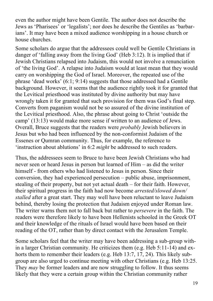even the author might have been Gentile. The author does not describe the Jews as 'Pharisees' or 'legalists'; nor does he describe the Gentiles as 'barbarians'. It may have been a mixed audience worshipping in a house church or house churches.

Some scholars do argue that the addressees could well be Gentile Christians in danger of 'falling away from the living God' (Heb 3:12). It is implied that if Jewish Christians relapsed into Judaism, this would not involve a renunciation of 'the living God'. A relapse into Judaism would at least mean that they would carry on worshipping the God of Israel. Moreover, the repeated use of the phrase 'dead works' (6:1; 9:14) suggests that those addressed had a Gentile background. However, it seems that the audience rightly took it for granted that the Levitical priesthood was instituted by divine authority but may have wrongly taken it for granted that such provision for them was God's final step. Converts from paganism would not be so assured of the divine institution of the Levitical priesthood. Also, the phrase about going to Christ 'outside the camp' (13:13) would make more sense if written to an audience of Jews. Overall, Bruce suggests that the readers were *probably* Jewish believers in Jesus but who had been influenced by the non-conformist Judaism of the Essenes or Qumran community. Thus, for example, the reference to 'instruction about ablutions' in 6:2 *might* be addressed to such readers.

Thus, the addressees seem to Bruce to have been Jewish Christians who had never seen or heard Jesus in person but learned of Him – as did the writer himself - from others who had listened to Jesus in person. Since their conversion, they had experienced persecution – public abuse, imprisonment, stealing of their property, but not yet actual death – for their faith. However, their spiritual progress in the faith had now become *arrested/slowed down/ stalled* after a great start. They may well have been reluctant to leave Judaism behind, thereby losing the protection that Judaism enjoyed under Roman law. The writer warns them not to fall back but rather to *persevere* in the faith. The readers were therefore likely to have been Hellenists schooled in the Greek OT and their knowledge of the rituals of Israel would have been based on their reading of the OT, rather than by direct contact with the Jerusalem Temple.

Some scholars feel that the writer may have been addressing a sub-group within a larger Christian community. He criticizes them (e.g. Heb 5:11-14) and exhorts them to remember their leaders (e.g. Heb 13:7, 17, 24). This likely subgroup are also urged to continue meeting with other Christians (e.g. Heb 13:25. They *may* be former leaders and are now struggling to follow. It thus seems likely that they were a certain group within the Christian community rather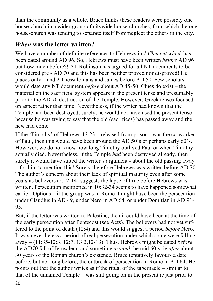than the community as a whole. Bruce thinks these readers were possibly one house-church in a wider group of citywide house-churches, from which the one house-church was tending to separate itself from/neglect the others in the city.

## *When* **was the letter written?**

We have a number of definite references to Hebrews in *1 Clement which* has been dated around AD 96. So, Hebrews must have been written *before* AD 96 but how much before?! AT Robinson has argued for all NT documents to be considered pre - AD 70 and this has been neither proved nor disproved! He places only 1 and 2 Thessalonians and James before AD 50. Few scholars would date any NT document *before* about AD 45-50. Clues do exist – the material on the sacrificial system appears in the present tense and presumably prior to the AD 70 destruction of the Temple. However, Greek tenses focused on aspect rather than time. Nevertheless, if the writer had known that the Temple had been destroyed, surely, he would not have used the present tense because he was trying to say that the old (sacrifices) has passed away and the new had come.

If the 'Timothy' of Hebrews 13:23 – released from prison - was the co-worker of Paul, then this would have been around the AD 50's or perhaps early 60's. However, we do not know how long Timothy outlived Paul or when Timothy actually died. Nevertheless, if the Temple *had* been destroyed already, then surely it would have suited the writer's argument - about the old passing away – for him to mention this! Surely therefore Hebrews was written before AD 70. The author's concern about their lack of spiritual maturity even after some years as believers (5:12-14) suggests the lapse of time before Hebrews was written. Persecution mentioned in 10:32-34 seems to have happened somewhat earlier. Options – if the group was in Rome it might have been the persecution under Claudius in AD 49, under Nero in AD 64, or under Domitian in AD 91- 95.

But, if the letter was written to Palestine, then it could have been at the time of the early persecution after Pentecost (see Acts). The believers had not yet suffered to the point of death (12:4) and this would suggest a period *before* Nero. It was nevertheless a period of real persecution under which some were falling away – (11:35-12:3; 12:7; 13:3,12-13). Thus, Hebrews might be dated *before* the AD70 fall of Jerusalem, and sometime *around* the mid 60's. ie *after* about 30 years of the Roman church's existence. Bruce tentatively favours a date before, but not long before, the outbreak of persecution in Rome in AD 64. He points out that the author writes as if the ritual of the tabernacle – similar to that of the unnamed Temple – was still going on in the present ie just prior to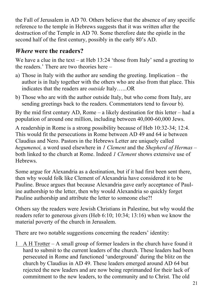the Fall of Jerusalem in AD 70. Others believe that the absence of any specific reference to the temple in Hebrews suggests that it was written after the destruction of the Temple in AD 70. Some therefore date the epistle in the second half of the first century, possibly in the early 80's AD.

## *Where* **were the readers?**

We have a clue in the text – at Heb 13:24 'those from Italy' send a greeting to the readers.' There are two theories here –

- a) Those in Italy with the author are sending the greeting. Implication the author is in Italy together with the others who are also from that place. This indicates that the readers are *outside* Italy…...OR
- b) Those who are with the author outside Italy, but who come from Italy, are sending greetings back to the readers. Commentators tend to favour b).

By the mid first century AD, Rome – a likely destination for this letter – had a population of around one million, including between 40,000-60,000 Jews.

A readership in Rome is a strong possibility because of Heb 10:32-34; 12:4. This would fit the persecutions in Rome between AD 49 and 64 ie between Claudius and Nero. Pastors in the Hebrews Letter are uniquely called *hegumenoi,* a word used elsewhere in *1 Clement* and the *Shepherd of Hermas* – both linked to the church at Rome. Indeed *1 Clement* shows extensive use of **Hebrews** 

Some argue for Alexandria as a destination, but if it had first been sent there, then why would folk like Clement of Alexandria have considered it to be Pauline. Bruce argues that because Alexandria gave early acceptance of Pauline authorship to the letter, then why would Alexandria so quickly forget Pauline authorship and attribute the letter to someone else?!

Others say the readers were Jewish Christians in Palestine, but why would the readers refer to generous givers (Heb 6:10; 10:34; 13:16) when we know the material poverty of the church in Jerusalem.

There are two notable suggestions concerning the readers' identity:

1 A H Trotter – A small group of former leaders in the church have found it hard to submit to the current leaders of the church. These leaders had been persecuted in Rome and functioned 'underground' during the blitz on the church by Claudius in AD 49. These leaders emerged around AD 64 but rejected the new leaders and are now being reprimanded for their lack of commitment to the new leaders, to the community and to Christ. The old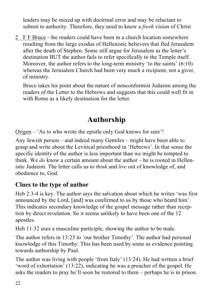leaders may be mixed up with doctrinal error and may be reluctant to submit to authority. Therefore, they need to know a *fresh* vision of Christ

2 F F Bruce - the readers could have been in a church location somewhere resulting from the large exodus of Hellenistic believers that fled Jerusalem after the death of Stephen. Some still argue for Jerusalem as the letter's destination BUT the author fails to refer specifically to the Temple itself. Moreover, the author refers to the long-term ministry 'to the saints' (6:10) whereas the Jerusalem Church had been very much a recipient, not a giver, of ministry.

Bruce takes his point about the nature of nonconformist Judaism among the readers of the Letter to the Hebrews and suggests that this could well fit in with Rome as a likely destination for the letter.

# **Authorship**

Origen – 'As to who wrote the epistle only God knows for sure'!

Any Jewish person – and indeed many Gentiles – might have been able to grasp and write about the Levitical priesthood in 'Hebrews'. In that sense the specific identity of the author is less important than we might be tempted to think. We *do* know a certain amount about the author – he is rooted in Hellenistic Judaism. The letter calls us to *think* and *live* out of knowledge of, and obedience to, God.

#### **Clues to the type of author**

Heb 2:3-4 is key. The author says the salvation about which he writes 'was first announced by the Lord, [and] was confirmed to us by those who heard him'. This indicates secondary knowledge of the gospel message rather than reception by direct revelation. So it seems unlikely to have been one of the 12 apostles.

Heb 11:32 uses a masculine participle, showing the author to be male.

The author refers in 13:23 to 'our brother Timothy'. The author had personal knowledge of this Timothy. This has been used by some as evidence pointing towards authorship by Paul.

The author was living with people 'from Italy' (13:24). He had written a brief 'word of exhortation' (13:22), indicating he was a preacher of the gospel. He asks the readers to pray he'll soon be restored to them – perhaps he is in prison.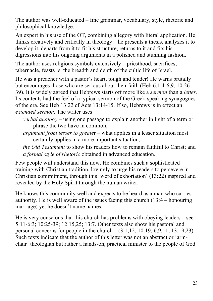The author was well-educated – fine grammar, vocabulary, style, rhetoric and philosophical knowledge.

An expert in his use of the OT, combining allegory with literal application. He thinks creatively and critically in theology – he presents a thesis, analyzes it to develop it, departs from it to fit his structure, returns to it and fits his digressions into his ongoing arguments in a polished and stunning fashion.

The author uses religious symbols extensively – priesthood, sacrifices, tabernacle, feasts ie. the breadth and depth of the cultic life of Israel.

He was a preacher with a pastor's heart, tough and tender! He warns brutally but encourages those who are serious about their faith (Heb 6:1,4-6,9; 10:26- 39). It is widely agreed that Hebrews starts off more like a *sermon* than a *letter.* Its contents had the feel of a typical sermon of the Greek-speaking synagogues of the era. See Heb 13:22 cf Acts 13:14-15. If so, Hebrews is in effect an *extended sermon.* The writer uses

*verbal analogy* – using one passage to explain another in light of a term or phrase the two have in common;

*argument from lesser to greate*r – what applies in a lesser situation most certainly applies in a more important situation;

*the Old Testament* to show his readers how to remain faithful to Christ; and *a formal style of rhetoric* obtained in advanced education.

Few people will understand this now. He combines such a sophisticated training with Christian tradition, lovingly to urge his readers to persevere in Christian commitment, through this 'word of exhortation' (13:22) inspired and revealed by the Holy Spirit through the human writer.

He knows this community well and expects to be heard as a man who carries authority. He is well aware of the issues facing this church (13:4 – honouring marriage) yet he doesn't name names.

He is very conscious that this church has problems with obeying leaders – see 5:11-6:3; 10:25-39; 12:15,25; 13:7. Other texts also show his pastoral and personal concerns for people in the church  $- (3:1,12; 10:19; 6:9,11; 13:19,23)$ . Such texts indicate that the author of this letter was not an abstract or 'armchair' theologian but rather a hands-on, practical minister to the people of God.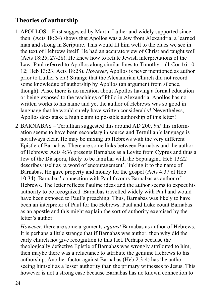#### **Theories of authorship**

- 1 APOLLOS First suggested by Martin Luther and widely supported since then. (Acts 18:24) shows that Apollos was a Jew from Alexandria, a learned man and strong in Scripture. This would fit him well to the clues we see in the text of Hebrews itself. He had an accurate view of Christ and taught well (Acts 18:25, 27-28). He knew how to refute Jewish interpretations of the Law. Paul referred to Apollos along similar lines to Timothy – (1 Cor 16:10- 12; Heb 13:23; Acts 18:28). *However*, Apollos is never mentioned as author prior to Luther's era! Strange that the Alexandrian Church did not record some knowledge of authorship by Apollos (an argument from silence, though). Also, there is no mention about Apollos having a formal education or being exposed to the teachings of Philo in Alexandria. Apollos has no written works to his name and yet the author of Hebrews was so good in language that he would surely have written considerably! Nevertheless, Apollos does stake a high claim to possible authorship of this letter!
- 2 BARNABAS Tertullian suggested this around AD 200, *but* this information seems to have been secondary in source and Tertullian's language is not always clear. He may be mixing up Hebrews with the very different Epistle of Barnabas. There are some links between Barnabas and the author of Hebrews: Acts 4:36 presents Barnabas as a Levite from Cyprus and thus a Jew of the Diaspora, likely to be familiar with the Septuagint. Heb 13:22 describes itself as 'a word of encouragement', linking it to the name of Barnabas. He gave property and money for the gospel (Acts 4:37 cf Heb 10:34). Barnabas' connection with Paul favours Barnabas as author of Hebrews. The letter reflects Pauline ideas and the author seems to expect his authority to be recognized. Barnabas travelled widely with Paul and would have been exposed to Paul's preaching. Thus, Barnabas was likely to have been an interpreter of Paul for the Hebrews. Paul and Luke count Barnabas as an apostle and this might explain the sort of authority exercised by the letter's author.

*However*, there are some arguments *against* Barnabas as author of Hebrews. It is perhaps a little strange that if Barnabas was author, then why did the early church not give recognition to this fact. Perhaps because the theologically defective Epistle of Barnabas was wrongly attributed to him, then maybe there was a reluctance to attribute the genuine Hebrews to his authorship. Another factor against Barnabas (Heb 2:3-4) has the author seeing himself as a lesser authority than the primary witnesses to Jesus. This however is not a strong case because Barnabas has no known connection to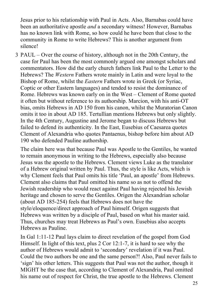Jesus prior to his relationship with Paul in Acts. Also, Barnabas could have been an authoritative apostle *and* a secondary witness! However, Barnabas has no known link with Rome, so how could he have been that close to the community in Rome to write Hebrews? This is another argument from silence!

3 PAUL – Over the course of history, although not in the 20th Century, the case for Paul has been the most commonly argued one amongst scholars and commentators. How did the early church fathers link Paul to the Letter to the Hebrews? The *Western* Fathers wrote mainly in Latin and were loyal to the Bishop of Rome, whilst the *Eastern* Fathers wrote in Greek (or Syriac, Coptic or other Eastern languages) and tended to resist the dominance of Rome. Hebrews was known early on in the West – Clement of Rome quoted it often but without reference to its authorship. Marcion, with his anti-OT bias, omits Hebrews in AD 150 from his canon, whilst the Muratorian Canon omits it too in about AD 185. Tertullian mentions Hebrews but only slightly. In the 4th Century, Augustine and Jerome began to discuss Hebrews but failed to defend its authenticity. In the East, Eusebius of Caesarea quotes Clement of Alexandria who quotes Pantaenus, bishop before him about AD 190 who defended Pauline authorship.

The claim here was that because Paul was Apostle to the Gentiles, he wanted to remain anonymous in writing to the Hebrews, especially also because Jesus was the apostle to the Hebrews. Clement views Luke as the translator of a Hebrew original written by Paul. Thus, the style is like Acts, which is why Clement feels that Paul omits his title 'Paul, an apostle' from Hebrews. Clement also claims that Paul omitted his name so as not to offend the Jewish readership who would react against Paul having rejected his Jewish heritage and chosen to serve the Gentiles. Origen the Alexandrian scholar (about AD 185-254) feels that Hebrews does not have the style/eloquence/direct approach of Paul himself. Origen suggests that Hebrews was written by a disciple of Paul, based on what his master said. Thus, churches may treat Hebrews as Paul's own. Eusebius also accepts Hebrews as Pauline.

In Gal 1:11-12 Paul lays claim to direct revelation of the gospel from God Himself. In light of this text, plus 2 Cor 12:1-7, it is hard to see why the author of Hebrews would admit to 'secondary' revelation if it was Paul. Could the two authors be one and the same person?! Also, Paul never fails to 'sign' his other letters. This suggests that Paul was not the author, though it MIGHT be the case that, according to Clement of Alexandria, Paul omitted his name out of respect for Christ, the true apostle to the Hebrews. Clement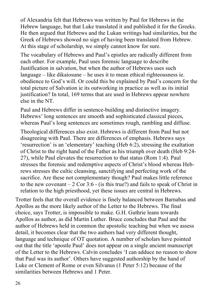of Alexandria felt that Hebrews was written by Paul for Hebrews in the Hebrew language, but that Luke translated it and published it for the Greeks. He then argued that Hebrews and the Lukan writings had similarities, but the Greek of Hebrews showed no sign of having been translated from Hebrew. At this stage of scholarship, we simply cannot know for sure.

The vocabulary of Hebrews and Paul's epistles are radically different from each other. For example, Paul uses forensic language to describe Justification in salvation, but when the author of Hebrews uses such language – like dikaiosune – he uses it to mean ethical righteousness ie. obedience to God's will. Or could this be explained by Paul's concern for the total picture of Salvation ie its outworking in practice as well as its initial justification? In total, 169 terms that are used in Hebrews appear nowhere else in the NT.

Paul and Hebrews differ in sentence-building and distinctive imagery. Hebrews' long sentences are smooth and sophisticated classical pieces, whereas Paul's long sentences are sometimes rough, rambling and diffuse.

Theological differences also exist. Hebrews is different from Paul but not disagreeing with Paul. There are differences of emphasis. Hebrews says 'resurrection' is an 'elementary' teaching (Heb 6:2), stressing the exaltation of Christ to the right hand of the Father as his triumph over death (Heb 9:24- 27), while Paul elevates the resurrection to that status (Rom 1:4). Paul stresses the forensic and redemptive aspects of Christ's blood whereas Hebrews stresses the cultic cleansing, sanctifying and perfecting work of the sacrifice. Are these not complementary though? Paul makes little reference to the new covenant  $-2$  Cor 3:6 - (is this true?) and fails to speak of Christ in relation to the high priesthood, yet these issues are central in Hebrews.

Trotter feels that the overall evidence is finely balanced between Barnabas and Apollos as the more likely author of the Letter to the Hebrews. The final choice, says Trotter, is impossible to make. G.H. Guthrie leans towards Apollos as author, as did Martin Luther. Bruce concludes that Paul and the author of Hebrews held in common the apostolic teaching but when we assess detail, it becomes clear that the two authors had very different thought, language and technique of OT quotation. A number of scholars have pointed out that the title 'apostle Paul' does not appear on a single ancient manuscript of the Letter to the Hebrews. Calvin concludes 'I can adduce no reason to show that Paul was its author'. Others have suggested authorship by the hand of Luke or Clement of Rome or even Silvanus (1 Peter 5:12) because of the similarities between Hebrews and 1 Peter.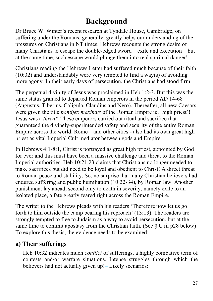# **Background**

Dr Bruce W. Winter's recent research at Tyndale House, Cambridge, on suffering under the Romans, generally, greatly helps our understanding of the pressures on Christians in NT times. Hebrews recounts the strong desire of many Christians to escape the double-edged sword – exile and execution – but at the same time, such escape would plunge them into real spiritual danger!

Christians reading the Hebrews Letter had suffered much because of their faith  $(10:32)$  and understandably were very tempted to find a way(s) of avoiding more agony. In their early days of persecution, the Christians had stood firm.

The perpetual divinity of Jesus was proclaimed in Heb 1:2-3. But this was the same status granted to departed Roman emperors in the period AD 14-68 (Augustus, Tiberius, Caligula, Claudius and Nero). Thereafter, all new Caesars were given the title *pontifex maximus* of the Roman Empire ie. 'high priest'! Jesus was a *threat*! These emperors carried out ritual and sacrifice that guaranteed the divinely-superintended safety and security of the entire Roman Empire across the world. Rome – and other cities - also had its own great high priest as vital Imperial Cult mediator between gods and Empire.

In Hebrews 4:1-8:1, Christ is portrayed as great high priest, appointed by God for ever and this must have been a massive challenge and threat to the Roman Imperial authorities. Heb 10:21,23 claims that Christians no longer needed to make sacrifices but did need to be loyal and obedient to Christ! A direct threat to Roman peace and stability. So, no surprise that many Christian believers had endured suffering and public humiliation (10:32-34), by Roman law. Another punishment lay ahead, second only to death in severity, namely exile to an isolated place, a fate greatly feared right across the Roman Empire.

The writer to the Hebrews pleads with his readers 'Therefore now let us go forth to him outside the camp bearing his reproach' (13:13). The readers are strongly tempted to flee to Judaism as a way to avoid persecution, but at the same time to commit apostasy from the Christian faith. (See  $\S$  C iii p28 below) To explore this thesis, the evidence needs to be examined:

#### **a) Their sufferings**

Heb 10:32 indicates much *conflict* of sufferings, a highly combative term of contests and/or warfare situations. Intense struggles through which the believers had not actually given up!– Likely scenarios: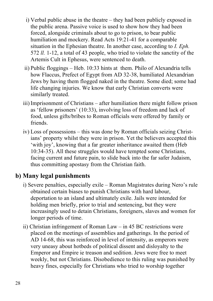- i) Verbal public abuse in the theatre they had been publicly exposed in the public arena. Passive voice is used to show how they had been forced, alongside criminals about to go to prison, to bear public humiliation and mockery. Read Acts 19:21-41 for a comparable situation in the Ephesian theatre. In another case, according to *I. Eph.*  572 *ll.* 1-12, a total of 43 people, who tried to violate the sanctity of the Artemis Cult in Ephesus, were sentenced to death.
- ii) Public floggings Heb. 10:33 hints at them. Philo of Alexandria tells how Flaccus, Prefect of Egypt from AD 32-38, humiliated Alexandrian Jews by having them flogged naked in the theatre. Some died; some had life changing injuries. We know that early Christian converts were similarly treated.
- iii) Imprisonment of Christians after humiliation there might follow prison as 'fellow prisoners' (10:33), involving loss of freedom and lack of food, unless gifts/bribes to Roman officials were offered by family or friends.
- iv) Loss of possessions this was done by Roman officials seizing Christians' property whilst they were in prison. Yet the believers accepted this 'with joy', knowing that a far greater inheritance awaited them (Heb 10:34-35). All these struggles would have tempted some Christians, facing current and future pain, to slide back into the far safer Judaism, thus committing apostasy from the Christian faith.

#### **b) Many legal punishments**

- i) Severe penalties, especially exile Roman Magistrates during Nero's rule obtained certain biases to punish Christians with hard labour, deportation to an island and ultimately exile. Jails were intended for holding men briefly, prior to trial and sentencing, but they were increasingly used to detain Christians, foreigners, slaves and women for longer periods of time.
- ii) Christian infringement of Roman Law in 45 BC restrictions were placed on the meetings of assemblies and gatherings. In the period of AD 14-68, this was reinforced in level of intensity, as emperors were very uneasy about hotbeds of political dissent and disloyalty to the Emperor and Empire ie treason and sedition. Jews were free to meet weekly, but not Christians. Disobedience to this ruling was punished by heavy fines, especially for Christians who tried to worship together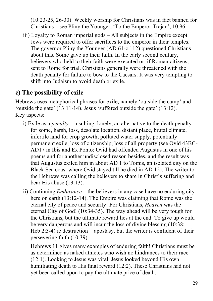(10:23-25, 26-30). Weekly worship for Christians was in fact banned for Christians – see Pliny the Younger, 'To the Emperor Trajan', 10.96.

iii) Loyalty to Roman imperial gods – All subjects in the Empire except Jews were required to offer sacrifices to the emperor in their temples. The governor Pliny the Younger (AD 61-c.112) questioned Christians about this. Some gave up their faith. In the early second century, believers who held to their faith were executed or, if Roman citizens, sent to Rome for trial. Christians generally were threatened with the death penalty for failure to bow to the Caesars. It was very tempting to shift into Judaism to avoid death or exile.

## **c) The possibility of exile**

Hebrews uses metaphorical phrases for exile, namely 'outside the camp' and 'outside the gate' (13:11-14). Jesus 'suffered outside the gate' (13:12). Key aspects:

- i) Exile as a *penalty* insulting, lonely, an alternative to the death penalty for some, harsh, loss, desolate location, distant place, brutal climate, infertile land for crop growth, polluted water supply, potentially permanent exile, loss of citizenship, loss of all property (see Ovid 43BC-AD17 in Ibis and Ex Ponto: Ovid had offended Augustus in one of his poems and for another undisclosed reason besides, and the result was that Augustus exiled him in about AD 1 to Tomis, an isolated city on the Black Sea coast where Ovid stayed till he died in AD 12). The writer to the Hebrews was calling the believers to share in Christ's suffering and bear His abuse (13:13).
- ii) Continuing *Endurance* the believers in any case have no enduring city here on earth (13:12-14). The Empire was claiming that Rome was the eternal city of peace and security! For Christians, *Heaven* was the eternal City of God! (10:34-35). The way ahead will be very tough for the Christians, but the ultimate reward lies at the end. To give up would be very dangerous and will incur the loss of divine blessing (10:38; Heb 2:3-4) ie destruction = apostasy, but the writer is confident of their persevering faith (10:39).

Hebrews 11 gives many examples of enduring faith! Christians must be as determined as naked athletes who wish no hindrances to their race (12:1). Looking to Jesus was vital. Jesus looked beyond His own humiliating death to His final reward (12:2). These Christians had not yet been called upon to pay the ultimate price of death.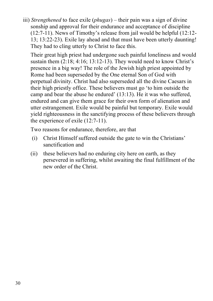iii) *Strengthened* to face exile (*phugas*) – their pain was a sign of divine sonship and approval for their endurance and acceptance of discipline (12:7-11). News of Timothy's release from jail would be helpful (12:12- 13; 13:22-23). Exile lay ahead and that must have been utterly daunting! They had to cling utterly to Christ to face this.

Their great high priest had undergone such painful loneliness and would sustain them  $(2:18; 4:16; 13:12-13)$ . They would need to know Christ's presence in a big way! The role of the Jewish high priest appointed by Rome had been superseded by the One eternal Son of God with perpetual divinity. Christ had also superseded all the divine Caesars in their high priestly office. These believers must go 'to him outside the camp and bear the abuse he endured' (13:13). He it was who suffered, endured and can give them grace for their own form of alienation and utter estrangement. Exile would be painful but temporary. Exile would yield righteousness in the sanctifying process of these believers through the experience of exile (12:7-11).

Two reasons for endurance, therefore, are that

- (i) Christ Himself suffered outside the gate to win the Christians' sanctification and
- (ii) these believers had no enduring city here on earth, as they persevered in suffering, whilst awaiting the final fulfillment of the new order of the Christ.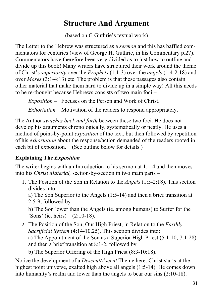# **Structure And Argument**

(based on G Guthrie's textual work)

The Letter to the Hebrew was structured as a *sermon* and this has baffled commentators for centuries (view of George H. Guthrie, in his Commentary p.27). Commentators have therefore been very divided as to just how to outline and divide up this book! Many writers have structured their work around the theme of Christ's *superiority* over the *Prophets* (1:1-3) over the *angels* (1:4-2:18) and over *Moses* (3:1-4:13) etc. The problem is that these passages also contain other material that make them hard to divide up in a simple way! All this needs to be re-thought because Hebrews consists of two main foci –

*Exposition* – Focuses on the Person and Work of Christ.

*Exhortation* – Motivation of the readers to respond appropriately.

The Author *switches back and forth* between these two foci. He does not develop his arguments chronologically, systematically or neatly. He uses a method of point-by-point *exposition* of the text, but then followed by repetition of his *exhortation* about the response/action demanded of the readers rooted in each bit of exposition. (See outline below for details.)

#### **Explaining The** *Exposition*

The writer begins with an Introduction to his sermon at 1:1-4 and then moves into his *Christ Material,* section-by-section in two main parts –

1. The Position of the Son in Relation to the *Angels* (1:5-2:18). This section divides into:

a) The Son Superior to the Angels (1:5-14) and then a brief transition at 2:5-9, followed by

b) The Son lower than the Angels (ie. among humans) to Suffer for the 'Sons' (ie. heirs) –  $(2:10-18)$ .

- 2. The Position of the Son, Our High Priest, in Relation to the *Earthly Sacrificial System* (4:14-10.25). This section divides into: a) The Appointment of the Son as a Superior High Priest (5:1-10; 7:1-28) and then a brief transition at 8:1-2, followed by
	- b) The Superior Offering of the High Priest (8:3-10:18).

Notice the development of a *Descent/Ascent* Theme here: Christ starts at the highest point universe, exalted high above all angels (1:5-14). He comes down into humanity's realm and lower than the angels to bear our sins (2:10-18).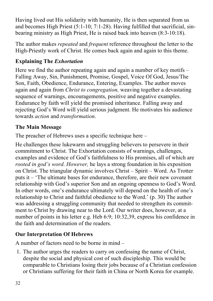Having lived out His solidarity with humanity, He is then separated from us and becomes High Priest (5:1-10; 7:1-28). Having fulfilled that sacrificial, sinbearing ministry as High Priest, He is raised back into heaven (8:3-10:18).

The author makes *repeated* and *frequent* reference throughout the letter to the High-Priestly work of Christ. He comes back again and again to this theme.

#### **Explaining The** *Exhortation*

Here we find the author repeating again and again a number of key motifs – Falling Away, Sin, Punishment, Promise, Gospel, Voice Of God, Jesus/The Son, Faith, Obedience, Endurance, Entering, Examples. The author moves again and again from *Christ to congregation,* weaving together a devastating sequence of warnings, encouragements, positive and negative examples. Endurance by faith will yield the promised inheritance. Falling away and rejecting God's Word will yield serious judgment. He motivates his audience towards *action* and *transformation*.

#### **The Main Message**

The preacher of Hebrews uses a specific technique here –

He challenges these lukewarm and struggling believers to persevere in their commitment to Christ. The Exhortation consists of warnings, challenges, examples and evidence of God's faithfulness to His promises, all of which are *rooted in god's word. However,* he lays a strong foundation in his exposition on Christ. The triangular dynamic involves Christ – Spirit – Word. As Trotter puts it – 'The ultimate bases for endurance, therefore, are their new covenant relationship with God's superior Son and an ongoing openness to God's Word. In other words, one's endurance ultimately will depend on the health of one's relationship to Christ and faithful obedience to the Word.' (p. 30) The author was addressing a struggling community that needed to strengthen its commitment to Christ by drawing near to the Lord. Our writer does, however, at a number of points in his letter e.g. Heb 6:9; 10:32,39, express his confidence in the faith and determination of the readers.

## **Our Interpretation Of Hebrews**

A number of factors need to be borne in mind –

1. The author urges the readers to carry on confessing the name of Christ, despite the social and physical cost of such discipleship. This would be comparable to Christians losing their jobs because of a Christian confession or Christians suffering for their faith in China or North Korea for example.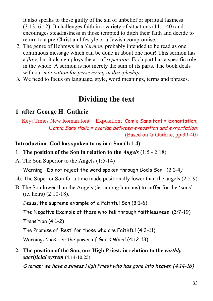It also speaks to those guilty of the sin of unbelief or spiritual laziness  $(3:13; 6:12)$ . It challenges faith in a variety of situations  $(11:1-40)$  and encourages steadfastness in those tempted to ditch their faith and decide to return to a pre-Christian lifestyle or a Jewish compromise.

- 2. The genre of Hebrews is a *Sermon*, probably intended to be read as one continuous message which can be done in about one hour! This sermon has a *flow*, but it also employs the art of *repetition*. Each part has a specific role in the whole. A sermon is not merely the sum of its parts. The book deals with our *motivation for persevering in discipleship.*
- **3.** We need to focus on language, style, word meanings, terms and phrases.

## **Dividing the text**

#### **1 after George H. Guthrie**

Key: Times New Roman font = Exposition; Comic Sans font = Exhortation; Comic Sans italic = overlap between exposition and exhortation. (Based on G Guthrie, pp 39-40)

**Introduction**: **God has spoken to us in a Son (1:1-4)**

- 1. **The position of the Son in relation to the** *Angels* (1:5 2:18)
- A. The Son Superior to the Angels (1:5-14)

Warning: Do not reject the word spoken through God's Son! (2:1-4)

- ab. The Superior Son for a time made positionally lower than the angels (2:5-9)
- B. The Son lower than the Angels (ie. among humans) to suffer for the 'sons' (ie. heirs) (2:10-18).

Jesus, the supreme example of a Faithful Son (3:1-6)

The Negative Example of those who fell through faithlessness (3:7-19) Transition (4:1-2)

The Promise of 'Rest' for those who are Faithful (4:3-11)

Warning: Consider the power of God's Word (4:12-13)

**2. The position of the Son, our High Priest, in relation to the** *earthly sacrificial system* (4:14-10:25)

Overlap: we have a sinless High Priest who has gone into heaven (4:14-16)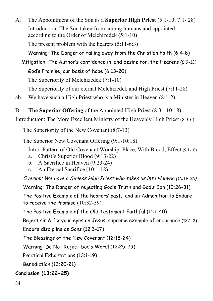A. The Appointment of the Son as a **Superior High Priest** (5:1-10; 7:1- 28) Introduction: The Son taken from among humans and appointed according to the Order of Melchizedek (5:1-10)

The present problem with the hearers (5:11-6:3)

Warning: The Danger of falling away from the Christian Faith (6:4-8)

 Mitigation: The Author's confidence in, and desire for, the Hearers (6:9-12) God's Promise, our basis of hope (6:13-20) The Superiority of Melchizedek (7:1-10)

The Superiority of our eternal Melchizedek and High Priest (7:11-28)

ab. We have such a High Priest who is a Minister in Heaven (8:1-2)

B. **The Superior Offering** of the Appointed High Priest (8:3 - 10:18)

Introduction: The More Excellent Ministry of the Heavenly High Priest (8:3-6)

The Superiority of the New Covenant (8:7-13)

The Superior New Covenant Offering (9:1-10:18)

Intro: Pattern of Old Covenant Worship: Place, With Blood, Effect (9:1-10)

- a. Christ's Superior Blood (9:13-22)
- b. A Sacrifice in Heaven (9:23-24)
- c. An Eternal Sacrifice (10:1-18)

Overlap: We have a Sinless High Priest who takes us into Heaven (10:19-25)

Warning: The Danger of rejecting God's Truth and God's Son (10:26-31) The Positive Example of the hearers' past, and an Admonition to Endure

to receive the Promise (10:32-39)

The Positive Example of the Old Testament Faithful (11:1-40)

Reject sin & fix your eyes on Jesus, supreme example of endurance (12:1-2)

Endure discipline as Sons (12:3-17)

The Blessings of the New Covenant (12:18-24)

Warning: Do Not Reject God's Word! (12:25-29)

Practical Exhortations (13:1-19)

Benediction (13:20-21)

#### **Conclusion (13:22-25)**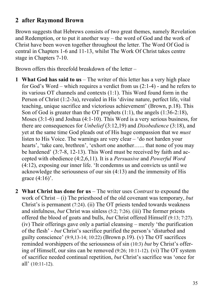#### **2 after Raymond Brown**

Brown suggests that Hebrews consists of two great themes, namely Revelation and Redemption, or to put it another way – the word of God and the work of Christ have been woven together throughout the letter. The Word Of God is central in Chapters 1-6 and 11-13, whilst The Work Of Christ takes centre stage in Chapters 7-10.

Brown offers this threefold breakdown of the letter –

- **1 What God has said to us** The writer of this letter has a very high place for God's Word – which requires a verdict from us (2:1-4) - and he refers to its various OT channels and contexts (1:1). This Word found form in the Person of Christ (1:2-3a), revealed in His 'divine nature, perfect life, vital teaching, unique sacrifice and victorious achievement' (Brown, p.18). This Son of God is greater than the OT prophets (1:1), the angels (1:36-2:18), Moses (3:1-6) and Joshua (4:1-10). This Word is a very serious business, for there are consequences for *Unbelief* (3:12,19) and *Disobedience* (3:18), and yet at the same time God pleads out of His huge compassion that we *must*  listen to His Voice. The warnings are very clear – 'do not harden your hearts', 'take care, brethren', 'exhort one another...... that none of you may be hardened' (3:7-8, 12-13). This Word must be received by faith and accepted with obedience (4:2,6,11). It is a *Persuasive* and *Powerful Word* (4:12), exposing our inner life. 'It condemns us and convicts us until we acknowledge the seriousness of our sin (4:13) and the immensity of His grace  $(4:16)$ .
- **2 What Christ has done for us** The writer uses *Contrast* to expound the work of Christ – (i) The priesthood of the old covenant was temporary, *but* Christ's is permanent (7:24). (ii) The OT priests tended towards weakness and sinfulness, *but* Christ was sinless (5:2; 7:26). (iii) The former priests offered the blood of goats and bulls, *but* Christ offered Himself (9:13; 7:27). (iv) Their offerings gave only a partial cleansing – merely 'the purification of the flesh' - *but* Christ's sacrifice purified the person's 'disturbed and guilty conscience'  $(9:9,13-14; 10:22)$  (Brown p.19). (v) The OT sacrifices reminded worshippers of the seriousness of sin (10:3) *but* by Christ's offering of Himself, our sins can be removed (9:26; 10:11-12). (vi) The OT system of sacrifice needed continual repetition, *but* Christ's sacrifice was 'once for all' (10:11-12).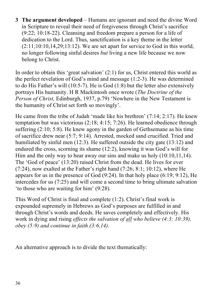**3 The argument developed** – Humans are ignorant and need the divine Word in Scripture to reveal their need of forgiveness through Christ's sacrifice (9:22; 10:18-22). Cleansing and freedom prepare a person for a life of dedication to the Lord. Thus, sanctification is a key theme in the letter  $(2:11;10:10,14,29;13:12)$ . We are set apart for service to God in this world, no longer following sinful desires *but* living a new life because we now belong to Christ.

In order to obtain this 'great salvation' (2:1) for us, Christ entered this world as the perfect revelation of God's mind and message (1:2-3). He was determined to do His Father's will (10:5-7). He is God (1:8) but the letter also extensively portrays His humanity. H R Mackintosh once wrote (*The Doctrine of the Person of Christ, Edinburgh, 1937, p.79)* 'Nowhere in the New Testament is the humanity of Christ set forth so movingly'.

He came from the tribe of Judah 'made like his brethren' (7:14; 2:17). He knew temptation but was victorious (2:18; 4:15; 7:26). He learned obedience through suffering (2:10; 5:8). He knew agony in the garden of Gethsemane as his time of sacrifice drew near (5:7; 9:14). Arrested, mocked sand crucified. Tried and humiliated by sinful men (12:3). He suffered outside the city gate (13:12) and endured the cross, scorning its shame (12:2), knowing it was God's will for Him and the only way to bear away our sins and make us holy  $(10:10,11,14)$ . The 'God of peace' (13:20) raised Christ from the dead. He lives for ever (7:24), now exalted at the Father's right hand (7:26; 8:1; 10:12), where He appears for us in the presence of God  $(9:24)$ . In that holy place  $(6:19; 9:12)$ , He intercedes for us (7:25) and will come a second time to bring ultimate salvation 'to those who are waiting for him' (9:28).

This Word of Christ is final and complete (1:2). Christ's final work is expounded supremely in Hebrews as God's purposes are fulfilled in and through Christ's words and deeds. He saves completely and effectively. His work in dying and rising *effects the salvation of all who believe (4:3; 10:39), obey (5:9) and continue in faith (3:6,14).*

An alternative approach is to divide the text thematically: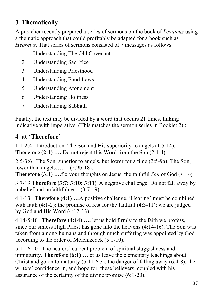## **3 Thematically**

A preacher recently prepared a series of sermons on the book of *Leviticus* using a thematic approach that could profitably be adapted for a book such as *Hebrews*. That series of sermons consisted of 7 messages as follows –

- 1 Understanding The Old Covenant
- 2 Understanding Sacrifice
- 3 Understanding Priesthood
- 4 Understanding Food Laws
- 5 Understanding Atonement
- 6 Understanding Holiness
- 7 Understanding Sabbath

Finally, the text may be divided by a word that occurs 21 times, linking indicative with imperative. (This matches the sermon series in Booklet 2) :

#### **4 at 'Therefore'**

1:1-2:4 Introduction. The Son and His superiority to angels (1:5-14). **Therefore** (2:1) ..., Do not reject this Word from the Son (2:1-4).

2:5-3:6 The Son, superior to angels, but lower for a time (2:5-9a); The Son, lower than angels……. (2:9b-18);

**Therefore (3:1) ….**fix your thoughts on Jesus, the faithful *Son* of God (3:1-6).

3:7-19 **Therefore (3:7; 3:10; 3:11)** A negative challenge. Do not fall away by unbelief and unfaithfulness. (3:7-19).

4:1-13 **Therefore (4:1) …**A positive challenge. 'Hearing' must be combined with faith  $(4:1-2)$ ; the promise of rest for the faithful  $(4:3-11)$ ; we are judged by God and His Word (4:12-13).

4:14-5:10 **Therefore (4:14) ….** let us hold firmly to the faith we profess, since our sinless High Priest has gone into the heavens (4:14-16). The Son was taken from among humans and through much suffering was appointed by God according to the order of Melchizedek (5:1-10).

5:11-6:20 The hearers' current problem of spiritual sluggishness and immaturity. **Therefore (6:1) …**let us leave the elementary teachings about Christ and go on to maturity  $(5:11-6:3)$ ; the danger of falling away  $(6:4-8)$ ; the writers' confidence in, and hope for, these believers, coupled with his assurance of the certainty of the divine promise (6:9-20).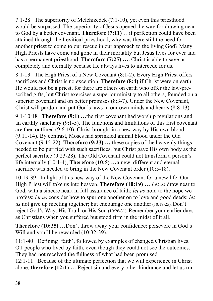7:1-28 The superiority of Melchizedek (7:1-10), yet even this priesthood would be surpassed. The superiority of Jesus opened the way for drawing near to God by a better covenant. **Therefore (7:11)** …if perfection could have been attained through the Levitical priesthood, why was there still the need for another priest to come to our rescue in our approach to the living God? Many High Priests have come and gone in their mortality but Jesus lives for ever and has a permanent priesthood. **Therefore (7:25) ….** Christ is able to save us completely and eternally because He always lives to intercede for us.

8:1-13 The High Priest of a New Covenant (8:1-2). Every High Priest offers sacrifices and Christ is no exception. **Therefore (8:4)** if Christ were on earth, He would not be a priest, for there are others on earth who offer the law-prescribed gifts, but Christ exercises a superior ministry to all others, founded on a superior covenant and on better promises (8:3-7). Under the New Covenant, Christ will pardon and put God's laws in our own minds and hearts (8:8-13).

9:1-10:18 **Therefore (9:1) …**the first covenant had worship regulations and an earthly sanctuary (9:1-5). The functions and limitations of this first covenant are then outlined (9:6-10). Christ brought in a new way by His own blood (9:11-14). By contrast, Moses had sprinkled animal blood under the Old Covenant (9:15-22). **Therefore (9:23) …** these copies of the heavenly things needed to be purified with such sacrifices, but Christ gave His own body as the perfect sacrifice (9:23-28). The Old Covenant could not transform a person's life internally (10:1-4), **Therefore (10:5) …**a new, different and eternal sacrifice was needed to bring in the New Covenant order (10:5-18).

10:19-39 In light of this new way of the New Covenant for a new life. Our High Priest will take us into heaven. **Therefore (10:19) …** *Let us* draw near to God, with a sincere heart in full assurance of faith; *let us* hold to the hope we profess; *let us* consider how to spur one another on to love and good deeds; *let us* not give up meeting together; but encourage one another (10:19-25). Don't reject God's Way, His Truth or His Son (10:26-31). Remember your earlier days as Christians when you suffered but stood firm in the midst of it all.

**Therefore (10:35) …**Don't throw away your confidence; persevere in God's Will and you'll be rewarded (10:32-39).

11:1-40 Defining 'faith', followed by examples of changed Christian lives. OT people who lived by faith, even though they could not see the outcomes. They had not received the fullness of what had been promised.

12:1-11 Because of the ultimate perfection that we will experience in Christ alone, **therefore (12:1) …** Reject sin and every other hindrance and let us run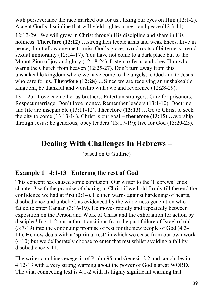with perseverance the race marked out for us., fixing our eyes on Him (12:1-2). Accept God's discipline that will yield righteousness and peace (12:3-11).

12:12-29 We will grow in Christ through His discipline and share in His holiness. **Therefore (12:12) …**strengthen feeble arms and weak knees. Live in peace; don't allow anyone to miss God's grace; avoid roots of bitterness, avoid sexual immorality (12:14-17). You have not come to a dark place but to the Mount Zion of joy and glory (12:18-24). Listen to Jesus and obey Him who warns the Church from heaven (12:25-27). Don't turn away from this unshakeable kingdom where we have come to the angels, to God and to Jesus who care for us. **Therefore (12:28)** ... Since we are receiving an unshakeable kingdom, be thankful and worship with awe and reverence (12:28-29).

13:1-25 Love each other as brothers. Entertain strangers. Care for prisoners. Respect marriage. Don't love money. Remember leaders (13:1-10). Doctrine and life are inseparable (13:11-12). **Therefore (13:13) …**Go to Christ to seek the city to come (13:13-14). Christ is our goal – **therefore (13:15) …**worship through Jesus; be generous; obey leaders (13:17-19); live for God (13:20-25).

# **Dealing With Challenges In Hebrews –**

(based on G Guthrie)

#### **Example 1 4:1-13 Entering the rest of God**

This concept has caused some confusion. Our writer to the 'Hebrews' ends chapter 3 with the promise of sharing in Christ if we hold firmly till the end the confidence we had at first (3:14). He then warns against hardening of hearts, disobedience and unbelief, as evidenced by the wilderness generation who failed to enter Canaan (3:16-19). He moves rapidly and repeatedly between exposition on the Person and Work of Christ and the exhortation for action by disciples! In 4:1-2 our author transitions from the past failure of Israel of old (3:7-19) into the continuing promise of rest for the new people of God (4:3- 11). He now deals with a 'spiritual rest' in which we cease from our own work (4:10) but we deliberately choose to enter that rest whilst avoiding a fall by disobedience v.11.

The writer combines exegesis of Psalm 95 and Genesis 2:2 and concludes in 4:12-13 with a very strong warning about the power of God's great WORD. The vital connecting text is 4:1-2 with its highly significant warning that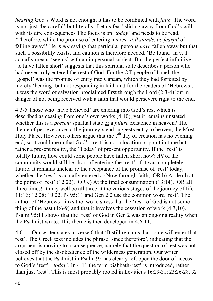*hearing* God's Word is not enough; it has to be combined with *faith* .The word is not just 'be careful' but literally 'Let us fear' sliding away from God's will with its dire consequences The focus is on '*today'* and needs to be read, 'Therefore, while the promise of entering his rest *still stands*, *be fearful* of falling away!' He is *not* saying that particular persons *have* fallen away but that such a possibility exists, and caution is therefore needed. 'Be found' in v. 1 actually means 'seems' with an impersonal subject. But the perfect infinitive 'to have fallen short' suggests that this spiritual state describes a person who had never truly entered the rest of God. For the OT people of Israel, the 'gospel' was the promise of entry into Canaan, which they had forfeited by merely 'hearing' but not responding in faith and for the readers of 'Hebrews', it was the word of salvation proclaimed first through the Lord (2:3-4) but in danger of not being received with a faith that would persevere right to the end.

4:3-5 Those who 'have believed' are entering into God's rest which is described as ceasing from one's own works (4:10), yet it remains unstated whether this is a *present* spiritual state or a *future* existence in heaven? The theme of perseverance to the journey's end suggests entry to heaven, the Most Holy Place. However, others argue that the  $7<sup>th</sup>$  day of creation has no evening end, so it could mean that God's 'rest' is not a location or point in time but rather a present reality, the 'Today' of present opportunity. If the 'rest' is totally future, how could some people have fallen short now? *All* of the community would still be short of entering the 'rest', if it was completely future. It remains unclear re the acceptance of the promise of 'rest' today, whether the 'rest' is actually entered a) Now through faith, OR b) At death at the point of 'rest' (12:23), OR c) At the final consummation (13:14), OR all three times! It may well be all three at the various stages of the journey of life – 11:16; 12:28; 10:22. Ps 95:11 and Gen 2:2 use the common word 'rest'. The author of 'Hebrews' links the two to stress that the 'rest' of God is not something of the past (4:6-9) and that it involves the cessation of work (4:3,10). Psalm 95:11 shows that the 'rest' of God in Gen 2 was an ongoing reality when the Psalmist wrote. This theme is then developed in 4:6-11.

4:6-11 Our writer states in verse 6 that 'It still remains that some will enter that rest'. The Greek text includes the phrase 'since therefore', indicating that the argument is moving to a consequence, namely that the question of rest was not closed off by the disobedience of the wilderness generation. Our writer believes that the Psalmist in Psalm 95 has clearly left open the door of access to God's 'rest' *'today'*. In 4:11 the term 'Sabbath-rest' is introduced, rather than just 'rest'. This is most probably rooted in Leviticus 16:29-31; 23:26-28, 32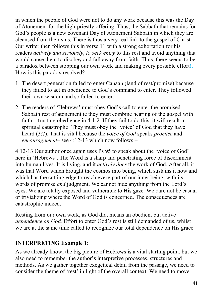in which the people of God were not to do any work because this was the Day of Atonement for the high-priestly offering. Thus, the Sabbath that remains for God's people is a new covenant Day of Atonement Sabbath in which they are cleansed from their sins. There is thus a very real link to the gospel of Christ. Our writer then follows this in verse 11 with a strong exhortation for his readers *actively and seriously*, *to seek entry* to this rest and avoid anything that would cause them to disobey and fall away from faith. Thus, there seems to be a paradox between stopping our own work and making every possible effort!. How is this paradox resolved?

- 1. The desert generation failed to enter Canaan (land of rest/promise) because they failed to act in obedience to God's command to enter. They followed their own wisdom and so failed to enter.
- 2. The readers of 'Hebrews' must obey God's call to enter the promised Sabbath rest of atonement ie they must combine hearing of the gospel with faith – trusting obedience in 4:1-2. If they fail to do this, it will result in spiritual catastrophe! They must obey the 'voice' of God that they have heard (3:7). That is vital because the *voice of God* speaks *promise* and *encouragement*– see 4:12-13 which now follows –

4:12-13 Our author once again uses Ps 95 to speak about the 'voice of God' here in 'Hebrews'. The Word is a sharp and penetrating force of discernment into human lives. It is living, and it *actively does* the work of God. After all, it was that Word which brought the cosmos into being, which sustains it now and which has the cutting edge to reach every part of our inner being, with its words of promise *and* judgment. We cannot hide anything from the Lord's eyes. We are totally exposed and vulnerable to His gaze. We dare not be casual or trivializing where the Word of God is concerned. The consequences are catastrophic indeed.

Resting from our own work, as God did, means an obedient but active *dependence on God.* Effort to enter God's rest is still demanded of us, whilst we are at the same time called to recognize our total dependence on His grace.

#### **INTERPRETING Example 1:**

As we already know, the big picture of Hebrews is a vital starting point, but we also need to remember the author's interpretive processes, structures and methods. As we gather together exegetical detail from the passage, we need to consider the theme of 'rest' in light of the overall context. We need to move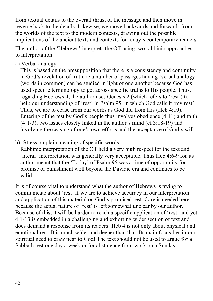from textual details to the overall thrust of the message and then move in reverse back to the details. Likewise, we move backwards and forwards from the worlds of the text to the modern contexts, drawing out the possible implications of the ancient texts and contexts for today's contemporary readers.

The author of the 'Hebrews' interprets the OT using two rabbinic approaches to interpretation –

a) Verbal analogy

This is based on the presupposition that there is a consistency and continuity in God's revelation of truth, ie a number of passages having 'verbal analogy' (words in common) can be studied in light of one another because God has used specific terminology to get across specific truths to His people. Thus, regarding Hebrews 4, the author uses Genesis 2 (which refers to 'rest') to help our understanding of 'rest' in Psalm 95, in which God calls it 'my rest'. Thus, we are to cease from our works as God did from His (Heb 4:10). Entering of the rest by God's people thus involves obedience (4:11) and faith (4:1-3), two issues closely linked in the author's mind (cf 3:18-19) and involving the ceasing of one's own efforts and the acceptance of God's will.

b) Stress on plain meaning of specific words –

Rabbinic interpretation of the OT held a very high respect for the text and 'literal' interpretation was generally very acceptable. Thus Heb 4:6-9 for its author meant that the 'Today' of Psalm 95 was a time of opportunity for promise or punishment well beyond the Davidic era and continues to be valid.

It is of course vital to understand what the author of Hebrews is trying to communicate about 'rest' if we are to achieve accuracy in our interpretation and application of this material on God's promised rest. Care is needed here because the actual nature of 'rest' is left somewhat unclear by our author. Because of this, it will be harder to reach a specific application of 'rest' and yet 4:1-13 is embedded in a challenging and exhorting wider section of text and does demand a response from its readers! Heb 4 is not only about physical and emotional rest. It is much wider and deeper than that. Its main focus lies in our spiritual need to draw near to God! The text should not be used to argue for a Sabbath rest one day a week or for abstinence from work on a Sunday.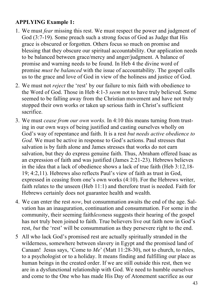#### **APPLYING Example 1:**

- 1. We must *fear* missing this rest. We must respect the power and judgment of God (3:7-19). Some preach such a strong focus of God as Judge that His grace is obscured or forgotten. Others focus so much on promise and blessing that they obscure our spiritual accountability. Our application needs to be balanced between grace/mercy and anger/judgment. A balance of promise and warning needs to be found. In Heb 4 the divine word of promise *must be balanced* with the issue of accountability. The gospel calls us to the grace and love of God in view of the holiness and justice of God.
- 2. We must not *reject* the 'rest' by our failure to mix faith with obedience to the Word of God. Those in Heb 4:1-3 *seem* not to have truly believed. Some seemed to be falling away from the Christian movement and have not truly stopped their own works or taken up serious faith in Christ's sufficient sacrifice.
- 3. We must *cease from our own works.* In 4:10 this means turning from trusting in our own ways of being justified and casting ourselves wholly on God's way of repentance and faith. It is a rest *but needs active obedience to God.* We must be active in response to God's actions. Paul stresses that salvation is by faith alone and James stresses that works do not earn salvation, but they do express genuine faith. Thus, Abraham offered Isaac as an expression of faith and was justified (James 2:21-23). Hebrews believes in the idea that a lack of obedience shows a lack of true faith (Heb 3:12,18- 19; 4:2,11). Hebrews also reflects Paul's view of faith as trust in God, expressed in ceasing from one's own works (4:10). For the Hebrews writer, faith relates to the unseen (Heb 11:1) and therefore trust is needed. Faith for Hebrews certainly does not guarantee health and wealth.
- 4. We can enter the rest *now*, but consummation awaits the end of the age. Salvation has an inauguration, continuation and consummation. For some in the community, their seeming faith*less*ness suggests their hearing of the gospel has not truly been joined to faith. True believers live out faith now in God's rest, *but* the 'rest' will be consummation as they persevere right to the end.
- 5 All who lack God's promised rest are actually spiritually stranded in the wilderness, somewhere between slavery in Egypt and the promised land of Canaan! Jesus says, 'Come to *Me*' (Matt 11:28-30), not to church, to rules, to a psychologist or to a holiday. It means finding and fulfilling our place as human beings in the created order. If we are still outside this rest, then we are in a dysfunctional relationship with God. We need to humble ourselves and come to the One who has made His Day of Atonement sacrifice as our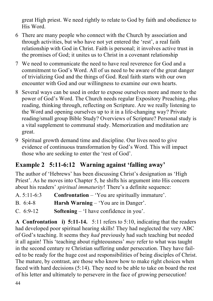great High priest. We need rightly to relate to God by faith and obedience to His Word.

- 6 There are many people who connect with the Church by association and through activities, but who have not yet entered the 'rest', a real faith relationship with God in Christ. Faith is personal; it involves active trust in the promises of God; it unites us to Christ in a covenant relationship
- 7 We need to communicate the need to have real reverence for God and a commitment to God's Word. All of us need to be aware of the great danger of trivializing God and the things of God. Real faith starts with our own encounter with God and our willingness to examine our own hearts.
- 8 Several ways can be used in order to expose ourselves more and more to the power of God's Word. The Church needs regular Expository Preaching, plus reading, thinking through, reflecting on Scripture. Are we really listening to the Word and opening ourselves up to it in a life-changing way? Private reading/small group Bible Study? Overviews of Scripture? Personal study is a vital supplement to communal study. Memorization and meditation are great.
- 9 Spiritual growth demand time and discipline. Our lives need to give evidence of continuous transformation by God's Word. This will impact those who are seeking to enter the 'rest of God'.

## **Example 2 5:11-6:12 Warning against 'falling away'**

The author of 'Hebrews' has been discussing Christ's designation as 'High Priest'. As he moves into Chapter 5, he shifts his argument into His concern about his readers' *spiritual immaturity*! There's a definite sequence:

- A. 5:11-6:3 **Confrontation** 'You are spiritually immature'.
- B. 6:4-8 **Harsh Warning**  'You are in Danger'.
- C. 6:9-12 **Softening** 'I have confidence in you'.

**A Confrontation i) 5:11-14.** 5:11 refers to 5:10, indicating that the readers had developed poor spiritual hearing skills! They had neglected the very ABC of God's teaching. It seems they *had* previously had such teaching but needed it all again! This 'teaching about righteousness' *may* refer to what was taught in the second century re Christian suffering under persecution. They have failed to be ready for the huge cost and responsibilities of being disciples of Christ. The mature, by contrast, are those who know how to make right choices when faced with hard decisions (5:14). They need to be able to take on board the rest of his letter and ultimately to persevere in the face of growing persecution!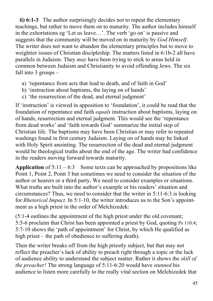**ii) 6:1-3** The author surprisingly decides not to repeat the elementary teachings, but rather to move them on to maturity. The author includes himself in the exhortations eg 'Let us leave…'. The verb 'go on' is passive and suggests that the community will be moved on in maturity by *God Himself*. The writer does not want to abandon the elementary principles but to move to weightier issues of Christian discipleship. The matters listed in 6:1b-2 all have parallels in Judaism. They *may* have been trying to stick to areas held in common between Judaism and Christianity to avoid offending Jews. The six fall into 3 groups –

- a) 'repentance from acts that lead to death, and of faith in God'
- b) 'instruction about baptisms, the laying on of hands'
- c) 'the resurrection of the dead, and eternal judgment'

If 'instruction' is viewed in apposition to 'foundation', it could be read that the foundation of repentance and faith *equals* instruction about baptisms, laying on of hands, resurrection and eternal judgment. This would see the 'repentance from dead works' and 'faith towards God' summarize the initial step of Christian life. The baptisms may have been Christian or may refer to repeated washings found in first century Judaism. Laying on of hands may be linked with Holy Spirit anointing. The resurrection of the dead and eternal judgment would be theological truths about the end of the age. The writer had confidence in the readers moving forward towards maturity.

**Application** of  $5:11 - 6:3$  Some texts can be approached by propositions like Point 1, Point 2, Point 3 but sometimes we need to consider the situation of the author or hearers or a third party. We need to consider examples or situations. What truths are built into the author's example or his readers' situation and circumstances? Thus, we need to consider that the writer in 5:11-6:3 is looking for *Rhetorical Impact*. In 5:1-10, the writer introduces us to the Son's appointment as a high priest in the order of Melchizedek:

(5:1-4 outlines the appointment of the high priest under the old covenant; 5:5-6 proclaim that Christ has been appointed a priest by God, quoting Ps 110:4; 5:7-10 shows the 'path of appointment' for Christ, by which He qualified as high priest – the path of obedience to suffering death).

Then the writer breaks off from the high priestly subject, but that may not reflect the preacher's lack of ability to preach right through a topic or the lack of audience ability to understand the subject matter. Rather it shows the *skill of the preacher!* The strong language of 5:11-6:20 would have *stunned* his audience to listen more carefully to the really vital section on Melchizedek that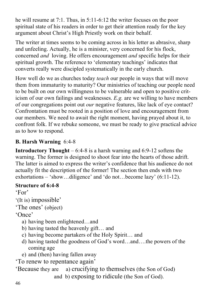he will resume at 7:1. Thus, in 5:11-6:12 the writer focuses on the poor spiritual state of his readers in order to get their attention ready for the key argument about Christ's High Priestly work on their behalf.

The writer at times seems to be coming across in his letter as abrasive, sharp and unfeeling. Actually, he is a minister, very concerned for his flock, concerned *and* loving. He offers encouragement *and* specific helps for their spiritual growth. The reference to 'elementary teachings' indicates that converts really were discipled systematically in the early church.

How well do we as churches today *teach* our people in ways that will move them from immaturity to maturity? Our ministries of teaching our people need to be built on our own willingness to be vulnerable and open to positive criticism of our own failings and weaknesses. *E.g.* are we willing to have members of our congregations point out *our* negative features, like lack of eye contact? Confrontation must be rooted in a position of love and encouragement from our members. We need to await the right moment, having prayed about it, to confront folk. If we rebuke someone, we must be ready to give practical advice as to how to respond.

#### **B. Harsh Warning** 6:4-8

**Introductory Thought** – 6:4-8 is a harsh warning and 6:9-12 softens the warning. The former is designed to shoot fear into the hearts of those adrift. The latter is aimed to express the writer's confidence that his audience do not actually fit the description of the former! The section then ends with two exhortations – 'show…diligence' and 'do not…become lazy' (6:11-12).

#### **Structure of 6:4-8**

'For'

```
'(It is) impossible'
```
'The ones' (object)

'Once'

- a) having been enlightened…and
- b) having tasted the heavenly gift… and
- c) having become partakers of the Holy Spirit… and
- d) having tasted the goodness of God's word…and….the powers of the coming age
- e) and (then) having fallen away

'To renew to repentance again'

'Because they are a) crucifying to themselves (the Son of God) and b) exposing to ridicule (the Son of God).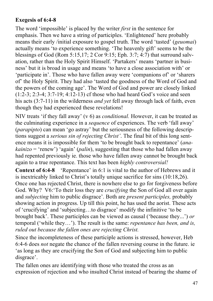#### **Exegesis of 6:4-8**

The word 'impossible' is placed by the writer *first* in the sentence for emphasis. Then we have a string of participles. 'Enlightened' here probably means their early /initial exposure to gospel truth. The word 'tasted' (*geuomai*) actually means 'to experience something. 'The heavenly gift' seems to be the blessings of God (Rom 5:15,17; 2 Cor 9:15; Eph. 3:7; 4:7) that surround salvation, rather than the Holy Spirit Himself. 'Partakers' means 'partner in business' but it is broad in usage and means 'to have a close association with' or 'participate in'. Those who have fallen away were 'companions of' or 'sharers of' the Holy Spirit. They had also 'tasted the goodness of the Word of God and the powers of the coming age'. The Word of God and power are closely linked (1:2-3; 2:3-4; 3:7-19; 4:12-13) cf those who had heard God's voice and seen his acts (3:7-11) in the wilderness *and yet* fell away through lack of faith, even though they had experienced these revelations!

NIV treats 'if they fall away' (v 6) as *conditional.* However, it can be treated as the culminating experience in a *sequence* of experiences. The verb 'fall away' (*parapipto*) can mean 'go astray' but the seriousness of the following descriptions suggest a *serious sin of rejecting Christ'*. The final bit of this long sentence means it is impossible for them 'to be brought back to repentance' (*anakainizo* = 'renew') 'again' (*palin*), suggesting that those who had fallen away had repented previously ie. those who have fallen away cannot be brought back again to a true repentance. This text has been *highly controversial!*

**Context of 6:4-8** 'Repentance' in 6:1 is vital to the author of Hebrews and it is inextricably linked to Christ's totally unique sacrifice for sins (10:18,26). Once one has rejected Christ, there is nowhere else to go for forgiveness before God. Why? V6:'To their loss they are *crucifying* the Son of God all over again and *subjecting* him to public disgrace'. Both are *present participles,* probably showing action in progress. Up till this point, he has used the aorist. These acts of 'crucifying' and 'subjecting…to disgrace' modify the infinitive 'to be brought back'. These participles can be viewed as causal ('because they...') *or* temporal ('while they…'). The result is the same: *repentance has been, and is, ruled out because the fallen ones are rejecting Christ.*

Since the incompleteness of these participle actions is stressed, however, Heb 6:4-6 does *not* negate the chance of the fallen reversing course in the future. ie 'as long as they are crucifying the Son of God and subjecting him to public disgrace'.

The fallen ones are identifying with those who treated the cross as an expression of rejection and who insulted Christ instead of bearing the shame of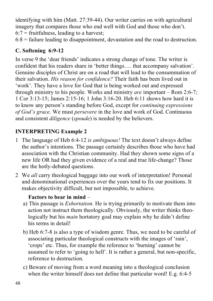identifying with him (Matt. 27:39-44). Our writer carries on with agricultural imagery that compares those who end well with God and those who don't.  $6:7$  = fruitfulness, leading to a harvest;

 $6:8$  = failure leading to disappointment, devastation and the road to destruction.

#### **C. Softening 6:9-12**

In verse 9 the 'dear friends' indicates a strong change of tone. The writer is confident that his readers share in 'better things…. that accompany salvation'. Genuine disciples of Christ are on a road that will lead to the consummation of their salvation. *His reason for confidence?* Their faith has been lived out in 'work'. They have a love for God that is being worked out and expressed through ministry to his people. Works and ministry *are* important – Rom 2:6-7; 1 Cor 3:13-15; James 2:15-16; 1 John 3:16-20. Heb 6:11 shows how hard it is to know any person's standing before God, except for *continuing expressions of God's grace.* We must *persevere* in the love and work of God. Continuous and consistent *diligence* (*spoude*) is needed by the believers.

#### **INTERPRETING Example 2**

- 1 The language of Heb 6:4-12 *is ambiguous!* The text doesn't always define the author's intentions. The passage certainly describes those who have had association with the Christian community. Had they shown some signs of a new life OR had they given evidence of a real and true life-change? Those are the hotly-debated questions.
- 2 We *all* carry theological baggage into our work of interpretation! Personal and denominational experiences over the years tend to fix our positions. It makes objectivity difficult, but not impossible, to achieve.

#### **Factors to bear in mind** –

- a) This passage is *Exhortation.* He is trying primarily to motivate them into action not instruct them theologically. Obviously, the writer thinks theologically but his *main* hortatory goal may explain why he didn't define his terms in detail!
- b) Heb 6:7-8 is also a type of wisdom genre. Thus, we need to be careful of associating particular theological constructs with the images of 'rain', 'crops' etc. Thus, for example the reference to 'burning' cannot be assumed to refer to 'going to hell'. It is rather a general, but non-specific, reference to destruction.
- c) Beware of moving from a word meaning into a theological conclusion when the writer himself does not define that particular word! E.g. 6:4-5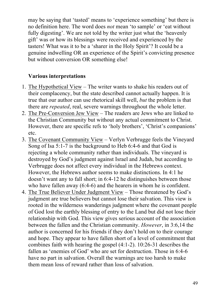may be saying that 'tasted' means to 'experience something' but there is no definition here. The word does *not* mean 'to sample' or 'eat without fully digesting'. We are not told by the writer just what the 'heavenly gift' was or how its blessings were received and experienced by the tasters! What was it to be a 'sharer in the Holy Spirit'? It could be a genuine indwelling OR an experience of the Spirit's convicting presence but without conversion OR something else!

#### **Various interpretations**

- 1. The Hypothetical View The writer wants to shake his readers out of their complacency, but the state described cannot actually happen. It is true that our author can use rhetorical skill well, *but* the problem is that there are *repeated*, real, severe warnings throughout the whole letter.
- 2. The Pre-Conversion Jew View The readers are Jews who are linked to the Christian Community but without any actual commitment to Christ. However, there are specific refs to 'holy brothers', 'Christ's companions' etc.
- 3. The Covenant Community View Verlyn Verbrugge feels the Vineyard Song of Isa 5:1-7 is the background to Heb 6:4-6 and that God is rejecting a whole community rather than individuals. The vineyard is destroyed by God's judgment against Israel and Judah, but according to Verbrugge does not affect every individual in the Hebrews context. However, the Hebrews author seems to make distinctions. In 4:1 he doesn't want any to fall short; in 6:4-12 he distinguishes between those who have fallen away (6:4-6) and the hearers in whom he is confident.
- 4. The True Believer Under Judgment View Those threatened by God's judgment are true believers but cannot lose their salvation. This view is rooted in the wilderness wanderings judgment where the covenant people of God lost the earthly blessing of entry to the Land but did not lose their relationship with God. This view gives serious account of the association between the fallen and the Christian community. *However*, in 3:6,14 the author is concerned for his friends if they don't hold on to their courage and hope. They appear to have fallen short of a level of commitment that combines faith with hearing the gospel (4:1-2). 10:26-31 describes the fallen as 'enemies of God' who are set for destruction. Those in 6:4-6 have no part in salvation. Overall the warnings are too harsh to make them mean loss of reward rather than loss of salvation.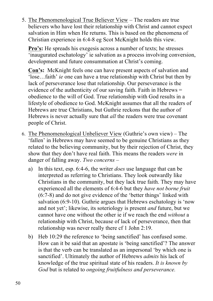5. The Phenomenological True Believer View – The readers are true believers who have lost their relationship with Christ and cannot expect salvation in Him when He returns. This is based on the phenomena of Christian experience in 6:4-8 eg Scot McKnight holds this view.

**Pro's:** He spreads his exegesis across a number of texts; he stresses 'inaugurated eschatology' ie salvation as a process involving conversion, development and future consummation at Christ's coming.

**Con's:** McKnight feels one can have present aspects of salvation and 'lose…faith' *ie* one can have a true relationship with Christ but then by lack of perseverance lose that relationship. Our perseverance is the evidence of the authenticity of our saving faith. Faith in Hebrews = obedience to the will of God. True relationship with God results in a lifestyle of obedience to God. McKnight assumes that all the readers of Hebrews are true Christians, but Guthrie reckons that the author of Hebrews is never actually sure that *all* the readers were true covenant people of Christ.

- 6. The Phenomenological Unbeliever View (Guthrie's own view) The 'fallen' in Hebrews may have seemed to be genuine Christians as they related to the believing community, but by their rejection of Christ, they show that they don't have real faith. This means the readers *were* in danger of falling away. *Two concerns* –
	- a) In this text, esp. 6:4-6, the writer *does* use language that can be interpreted as referring to Christians. They look outwardly like Christians in the community, but they lack true faith. They may have experienced all the elements of 6:4-6 but they *have not borne fruit* (6:7-8) and do not give evidence of the 'better things' linked with salvation (6:9-10). Guthrie argues that Hebrews eschatology is 'now and not yet'; likewise, its soteriology is present *and* future, but we cannot have one without the other ie if we reach the end *without* a relationship with Christ, because of lack of perseverance, then that relationship was never really there cf 1 John 2:19.
	- b) Heb 10:29 the reference to 'being sanctified' has confused some. How can it be said that an apostate is 'being sanctified'? The answer is that the verb can be translated as an impersonal 'by which one is sanctified'. Ultimately the author of Hebrews *admits* his lack of knowledge of the true spiritual state of his readers. *It is known by God* but is related to *ongoing fruitfulness and perseverance.*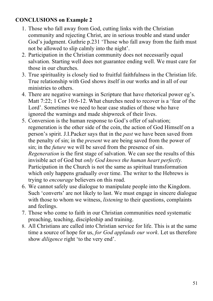#### **CONCLUSIONS on Example 2**

- 1. Those who fall away from God, cutting links with the Christian community and rejecting Christ, are in serious trouble and stand under God's judgment. Guthrie p.231 'Those who fall away from the faith must not be allowed to slip calmly into the night'.
- 2. Participation in the Christian community does not necessarily equal salvation. Starting well does not guarantee ending well. We must care for those in our churches.
- 3. True spirituality is closely tied to fruitful faithfulness in the Christian life. True relationship with God shows itself in our works and in all of our ministries to others.
- 4. There are negative warnings in Scripture that have rhetorical power eg's. Matt 7:22; 1 Cor 10:6-12. What churches need to recover is a 'fear of the Lord'. Sometimes we need to hear case studies of those who have ignored the warnings and made shipwreck of their lives.
- 5. Conversion is the human response to God's offer of salvation; regeneration is the other side of the coin, the action of God Himself on a person's spirit. J.I.Packer says that in the *past* we have been saved from the penalty of sin; in the *present* we are being saved from the power of sin; in the *future* we will be saved from the presence of sin. *Regeneration* is the first stage of salvation. We can see the results of this invisible act of God but *only God knows the human heart perfectly.* Participation in the Church is not the same as spiritual transformation which only happens gradually over time. The writer to the Hebrews is trying to *encourage* believers on this road.
- 6. We cannot safely use dialogue to manipulate people into the Kingdom. Such 'converts' are not likely to last. We must engage in sincere dialogue with those to whom we witness, *listening* to their questions, complaints and feelings.
- 7. Those who come to faith in our Christian communities need systematic preaching, teaching, discipleship and training.
- 8. All Christians are called into Christian service for life. This is at the same time a source of hope for us, *for God applauds our work*. Let us therefore show *diligence* right 'to the very end'.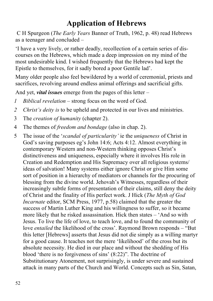# **Application of Hebrews**

C H Spurgeon (*The Early Years* Banner of Truth, 1962, p. 48) read Hebrews as a teenager and concluded –

'I have a very lively, or rather deadly, recollection of a certain series of discourses on the Hebrews, which made a deep impression on my mind of the most undesirable kind. I wished frequently that the Hebrews had kept the Epistle to themselves, for it sadly bored a poor Gentile lad'.

Many older people also feel bewildered by a world of ceremonial, priests and sacrifices, revolving around endless animal offerings and sacrificial gifts.

And yet, *vital issues* emerge from the pages of this letter –

- *1 Biblical revelation* strong focus on the word of God.
- *2 Christ's deity is* to be upheld and protected in our lives and ministries.
- 3 The *creation of humanity* (chapter 2).
- 4 The themes of *freedom and bondage* (also in chap. 2).
- 5 The issue of the '*scandal of particularity'* ie the *uniqueness* of Christ in God's saving purposes eg's John 14:6; Acts 4:12. Almost everything in contemporary Western and non-Western thinking opposes Christ's distinctiveness and uniqueness, especially where it involves His role in Creation and Redemption and His Supremacy over all religious systems/ ideas of salvation! Many systems either ignore Christ or give Him some sort of position in a hierarchy of mediators or channels for the procuring of blessing from the divine world. Jehovah's Witnesses, regardless of their increasingly subtle forms of presentation of their claims, still deny the deity of Christ and the finality of His perfect work. J Hick (*The Myth of God Incarnate* editor, SCM Press, 1977, p.58) claimed that the greater the success of Martin Luther King and his willingness to suffer, so it became more likely that he risked assassination. Hick then states – 'And so with Jesus. To live the life of love, to teach love, and to found the community of love *entailed* the likelihood of the cross'. Raymond Brown responds – "But this letter [Hebrews] asserts that Jesus did not die simply as a willing martyr for a good cause. It teaches not the mere 'likelihood' of the cross but its absolute necessity. He died in our place and without the shedding of His blood 'there is no forgiveness of sins' (8:22)". The doctrine of Substitutionary Atonement, not surprisingly, is under severe and sustained attack in many parts of the Church and World. Concepts such as Sin, Satan,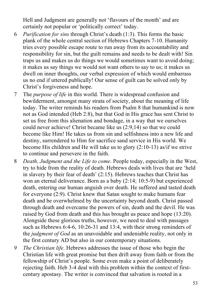Hell and Judgment are generally not 'flavours of the month' and are certainly not popular or 'politically correct' today.

- 6 *Purification for sins* through Christ's death (1:3). This forms the basic plank of the whole central section of Hebrews Chapters 7-10. Humanity tries every possible escape route to run away from its accountability and responsibility for sin, but the guilt remains and needs to be dealt with! Sin traps us and makes us do things we would sometimes want to avoid doing; it makes us say things we would not want others to say to us; it makes us dwell on inner thoughts, our verbal expression of which would embarrass us no end if uttered publically! Our sense of guilt can be solved only by Christ's forgiveness and hope.
- 7 The *purpose of life* in this world. There is widespread confusion and bewilderment, amongst many strata of society, about the meaning of life today. The writer reminds his readers from Psalm 8 that humankind is now not as God intended (Heb 2:8), but that God in His grace has sent Christ to set us free from this alienation and bondage, in a way that we ourselves could never achieve! Christ became like us (2:9,14) so that we could become like Him! He takes us from sin and selfishness into a new life and destiny, surrendered to Him for sacrifice sand service in His world. We become His children and He will take us to glory (2:10-13) as/if we strive to continue and persevere in the faith.
- 8 *Death, Judgment and the Life to come*. People today, especially in the West, try to hide from the reality of death. Hebrews deals with lives that are 'held in slavery by their fear of death' (2:15). Hebrews teaches that Christ has won an eternal deliverance. Born as a baby (2:14; 10:5-9) but experienced death, entering our human anguish over death. He suffered and tasted death for everyone (2:9). Christ knew that Satan sought to make humans fear death and be overwhelmed by the uncertainty beyond death. Christ passed through death and overcame the powers of sin, death and the devil. He was raised by God from death and this has brought us peace and hope (13:20). Alongside these glorious truths, however, we need to deal with passages such as Hebrews 6:4-6, 10:26-31 and 13:4, with their strong reminders of the *judgment of God* as an unavoidable and undeniable reality, not only in the first century AD but also in our contemporary situations.
- *9 The Christian life*. Hebrews addresses the issue of those who begin the Christian life with great promise but then drift away from faith or from the fellowship of Christ's people. Some even make a point of deliberately rejecting faith. Heb 3-4 deal with this problem within the context of firstcentury apostasy. The writer is convinced that salvation is rooted in a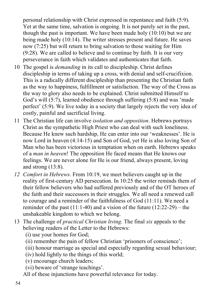personal relationship with Christ expressed in repentance and faith (5:9). Yet at the same time, salvation is ongoing. It is not purely set in the past, though the past is important. We have been made holy (10:10) but we are being made holy (10:14). The writer stresses present and future. He saves now (7:25) but will return to bring salvation to those waiting for Him (9:28). We are called to believe and to continue by faith. It is our very perseverance in faith which validates and authenticates that faith.

- 10 The gospel is *demanding* in its call to discipleship. Christ defines discipleship in terms of taking up a cross, with denial and self-crucifixion. This is a radically different discipleship than presenting the Christian faith as the way to happiness, fulfillment or satisfaction. The way of the Cross as the way to glory also needs to be explained. Christ submitted Himself to God's will (5:7), learned obedience through suffering (5:8) and was 'made perfect' (5:9). We live today in a society that largely rejects the very idea of costly, painful and sacrificial living.
- 11 The Christian life can involve *isolation and opposition*. Hebrews portrays Christ as the sympathetic High Priest who can deal with such loneliness. Because He knew such hardship, He can enter into our 'weaknesses'. He is now Lord in heaven (4:14-15) and Son of God, yet He is also loving Son of Man who has been victorious in temptation when on earth. Hebrews speaks of a *man in heaven*! The opposition He faced means that He knows our feelings. We are never alone for He is our friend, always present, loving and strong (13:8).
- *12 Comfort in Hebrews*. From 10:19, we meet believers caught up in the reality of first-century AD persecution. In 10:25 the writer reminds them of their fellow believers who had suffered previously and of the OT heroes of the faith and their successors in their struggles. We all need a renewed call to courage and a reminder of the faithfulness of God (11:11). We need a reminder of the past  $(11:1-40)$  and a vision of the future  $(12:22-29)$  – the unshakeable kingdom to which we belong.
- 13 The challenge of *practical Christian living*. The final *six* appeals to the believing readers of the Letter to the Hebrews:
	- (i) use your homes for God;
	- (ii) remember the pain of fellow Christian 'prisoners of conscience';
	- (iii) honour marriage as special and especially regarding sexual behaviour;
	- (iv) hold lightly to the things of this world;
	- (v) encourage church leaders;
	- (vi) beware of 'strange teachings'.
	- All of these injunctions have powerful relevance for today.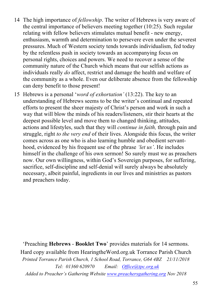- 14 The high importance of *fellowship*. The writer of Hebrews is very aware of the central importance of believers meeting together (10:25). Such regular relating with fellow believers stimulates mutual benefit - new energy, enthusiasm, warmth and determination to persevere even under the severest pressures. Much of Western society tends towards individualism, fed today by the relentless push in society towards an accompanying focus on personal rights, choices and powers. We need to recover a sense of the community nature of the Church which means that our selfish actions as individuals really *do* affect, restrict and damage the health and welfare of the community as a whole. Even our deliberate absence from the fellowship can deny benefit to those present!
- 15 Hebrews is a personal '*word of exhortation'* (13:22). The key to an understanding of Hebrews seems to be the writer's continual and repeated efforts to present the sheer majesty of Christ's person and work in such a way that will blow the minds of his readers/listeners, stir their hearts at the deepest possible level and move them to changed thinking, attitudes, actions and lifestyles, such that they will *continue in faith,* through pain and struggle, right *to the very end* of their lives. Alongside this focus, the writer comes across as one who is also learning humble and obedient servanthood, evidenced by his frequent use of the phrase *'let us'*. He includes himself in the challenge of his own sermon! So surely must we as preachers now. Our own willingness, within God's Sovereign purposes, for suffering, sacrifice, self-discipline and self-denial will surely always be absolutely necessary, albeit painful, ingredients in our lives and ministries as pastors and preachers today.

'Preaching **Hebrews** - **Booklet Two**' provides materials for 14 sermons. Hard copy available from HearingtheWord.org.uk Torrance Parish Church *Printed Torrance Parish Church, 1 School Road, Torrance, G64 4BZ 21/11/2018 Tel: 01360 620970 Email: Office@tpc.org.uk Added to Preacher's Gathering Website www.preachersgathering.org Nov 2018*

55